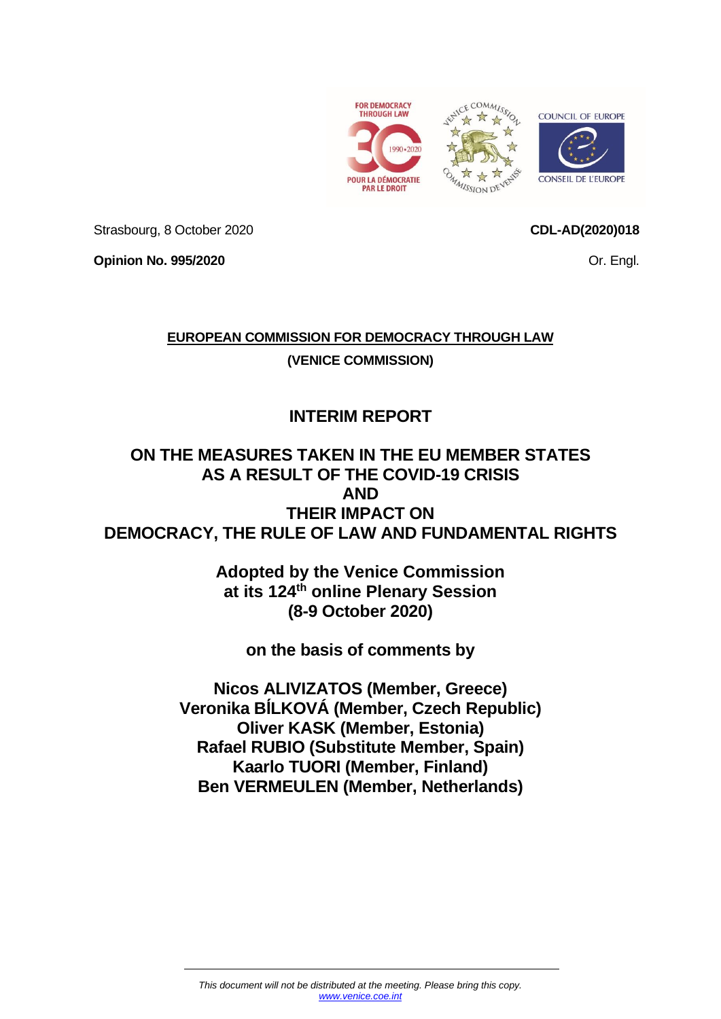



Strasbourg, 8 October 2020

**CDL-AD(2020)018**

Or. Engl.

**Opinion No. 995/2020**

**EUROPEAN COMMISSION FOR DEMOCRACY THROUGH LAW**

**(VENICE COMMISSION)**

# **INTERIM REPORT**

## **ON THE MEASURES TAKEN IN THE EU MEMBER STATES AS A RESULT OF THE COVID-19 CRISIS AND THEIR IMPACT ON DEMOCRACY, THE RULE OF LAW AND FUNDAMENTAL RIGHTS**

**Adopted by the Venice Commission at its 124th online Plenary Session (8-9 October 2020)**

**on the basis of comments by**

**Nicos ALIVIZATOS (Member, Greece) Veronika BĺLKOVÁ (Member, Czech Republic) Oliver KASK (Member, Estonia) Rafael RUBIO (Substitute Member, Spain) Kaarlo TUORI (Member, Finland) Ben VERMEULEN (Member, Netherlands)**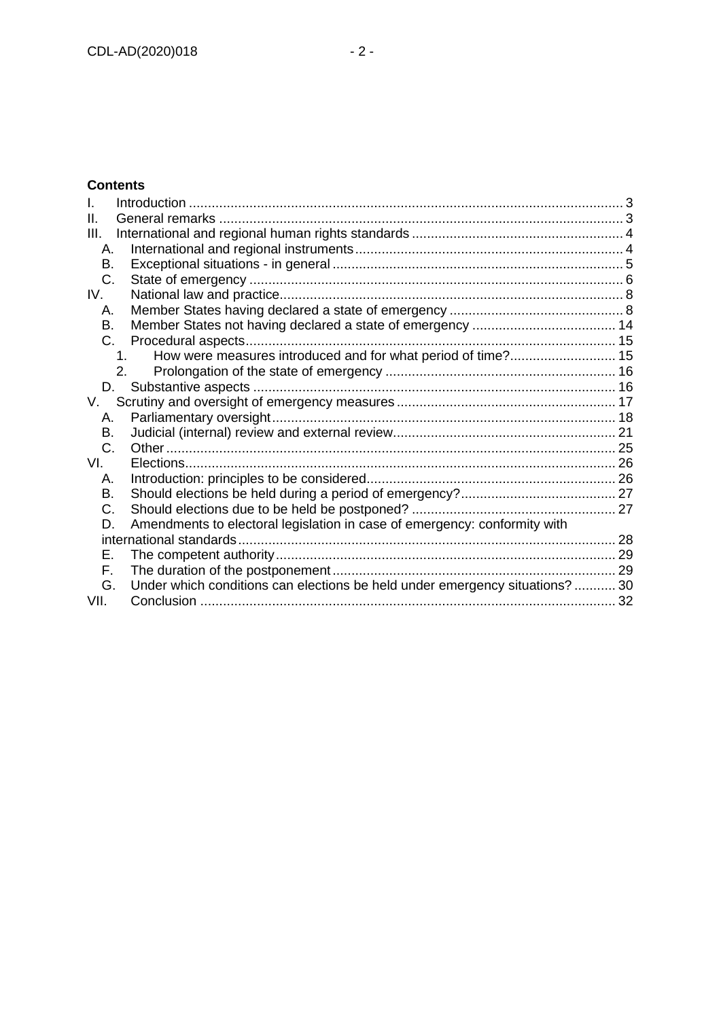### **Contents**

| Ш.      |                                                                             |  |
|---------|-----------------------------------------------------------------------------|--|
| III.    |                                                                             |  |
| Α.      |                                                                             |  |
| Β.      |                                                                             |  |
| C.      |                                                                             |  |
| IV.     |                                                                             |  |
| А.      |                                                                             |  |
| В.      |                                                                             |  |
| $C_{1}$ |                                                                             |  |
|         | How were measures introduced and for what period of time? 15<br>$\mathbf 1$ |  |
|         | 2.                                                                          |  |
| D.      |                                                                             |  |
| V.      |                                                                             |  |
| А.      |                                                                             |  |
| В.      |                                                                             |  |
| C.      |                                                                             |  |
| VI.     | Elections                                                                   |  |
| А.      |                                                                             |  |
| В.      |                                                                             |  |
| C.      |                                                                             |  |
| D.      | Amendments to electoral legislation in case of emergency: conformity with   |  |
|         | international standards.                                                    |  |
| E.      |                                                                             |  |
| F.      |                                                                             |  |
| G.      | Under which conditions can elections be held under emergency situations?30  |  |
| VII.    |                                                                             |  |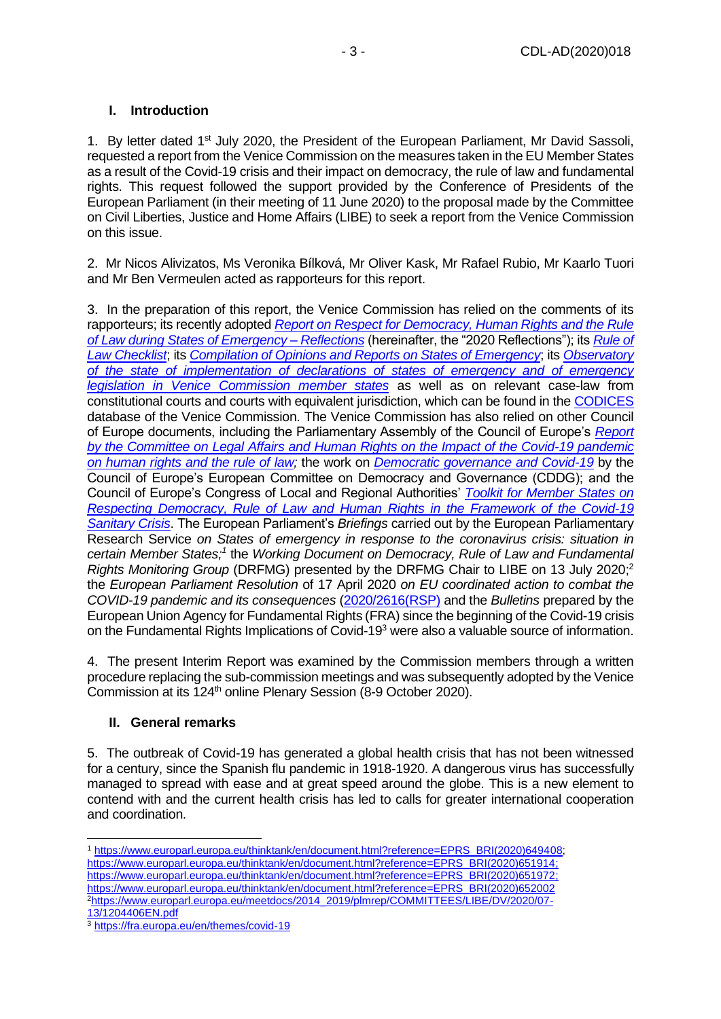### <span id="page-2-0"></span>**I. Introduction**

1. By letter dated 1<sup>st</sup> July 2020, the President of the European Parliament, Mr David Sassoli, requested a report from the Venice Commission on the measures taken in the EU Member States as a result of the Covid-19 crisis and their impact on democracy, the rule of law and fundamental rights. This request followed the support provided by the Conference of Presidents of the European Parliament (in their meeting of 11 June 2020) to the proposal made by the Committee on Civil Liberties, Justice and Home Affairs (LIBE) to seek a report from the Venice Commission on this issue.

2. Mr Nicos Alivizatos, Ms Veronika Bílková, Mr Oliver Kask, Mr Rafael Rubio, Mr Kaarlo Tuori and Mr Ben Vermeulen acted as rapporteurs for this report.

3. In the preparation of this report, the Venice Commission has relied on the comments of its rapporteurs; its recently adopted *[Report on Respect for Democracy, Human Rights and the Rule](https://www.venice.coe.int/webforms/documents/?pdf=CDL-AD(2020)014-e)  [of Law during States of Emergency –](https://www.venice.coe.int/webforms/documents/?pdf=CDL-AD(2020)014-e) Reflections* (hereinafter, the "2020 Reflections"); its *[Rule of](https://www.venice.coe.int/webforms/documents/?pdf=CDL-AD(2016)007-e)  [Law Checklist](https://www.venice.coe.int/webforms/documents/?pdf=CDL-AD(2016)007-e)*; its *[Compilation of Opinions and Reports on States of Emergency](https://www.venice.coe.int/webforms/documents/?pdf=CDL-PI(2020)003-e)*; its *[Observatory](https://www.venice.coe.int/WebForms/pages/?p=02_EmergencyPowersObservatory&lang=EN)  [of the state of implementation of declarations of states of emergency and of emergency](https://www.venice.coe.int/WebForms/pages/?p=02_EmergencyPowersObservatory&lang=EN)  [legislation in Venice Commission member states](https://www.venice.coe.int/WebForms/pages/?p=02_EmergencyPowersObservatory&lang=EN)* as well as on relevant case-law from constitutional courts and courts with equivalent jurisdiction, which can be found in the [CODICES](http://www.codices.coe.int/NXT/gateway.dll?f=templates&fn=default.htm) database of the Venice Commission. The Venice Commission has also relied on other Council of Europe documents, including the Parliamentary Assembly of the Council of Europe's *[Report](https://pace.coe.int/en/news/7945/pandemics-and-states-of-emergency-there-should-and-need-not-be-any-tension-between-effectiveness-and-legality)  [by the Committee on Legal Affairs and Human Rights on the Impact of the Covid-19 pandemic](https://pace.coe.int/en/news/7945/pandemics-and-states-of-emergency-there-should-and-need-not-be-any-tension-between-effectiveness-and-legality)  [on human rights and the rule of law;](https://pace.coe.int/en/news/7945/pandemics-and-states-of-emergency-there-should-and-need-not-be-any-tension-between-effectiveness-and-legality)* the work on *[Democratic governance and Covid-19](https://www.coe.int/en/web/good-governance/11th-cddg-session)* by the Council of Europe's European Committee on Democracy and Governance (CDDG); and the Council of Europe's Congress of Local and Regional Authorities' *[Toolkit for Member States on](https://www.coe.int/en/web/congress/covid-19-toolkits)  [Respecting Democracy, Rule of Law and Human Rights in the Framework of the Covid-19](https://www.coe.int/en/web/congress/covid-19-toolkits)  [Sanitary Crisis](https://www.coe.int/en/web/congress/covid-19-toolkits)*. The European Parliament's *Briefings* carried out by the European Parliamentary Research Service *on States of emergency in response to the coronavirus crisis: situation in*  certain Member States;<sup>1</sup> the *Working Document on Democracy, Rule of Law and Fundamental Rights Monitoring Group* (DRFMG) presented by the DRFMG Chair to LIBE on 13 July 2020; 2 the *European Parliament Resolution* of 17 April 2020 *on EU coordinated action to combat the COVID-19 pandemic and its consequences* [\(2020/2616\(RSP\)](https://oeil.secure.europarl.europa.eu/oeil/popups/ficheprocedure.do?lang=en&reference=2020/2616(RSP)) and the *Bulletins* prepared by the European Union Agency for Fundamental Rights (FRA) since the beginning of the Covid-19 crisis on the Fundamental Rights Implications of Covid-19<sup>3</sup> were also a valuable source of information.

4. The present Interim Report was examined by the Commission members through a written procedure replacing the sub-commission meetings and was subsequently adopted by the Venice Commission at its 124<sup>th</sup> online Plenary Session (8-9 October 2020).

### <span id="page-2-1"></span>**II. General remarks**

5. The outbreak of Covid-19 has generated a global health crisis that has not been witnessed for a century, since the Spanish flu pandemic in 1918-1920. A dangerous virus has successfully managed to spread with ease and at great speed around the globe. This is a new element to contend with and the current health crisis has led to calls for greater international cooperation and coordination.

<sup>1</sup> [https://www.europarl.europa.eu/thinktank/en/document.html?reference=EPRS\\_BRI\(2020\)649408;](https://www.europarl.europa.eu/thinktank/en/document.html?reference=EPRS_BRI(2020)649408) [https://www.europarl.europa.eu/thinktank/en/document.html?reference=EPRS\\_BRI\(2020\)651914;](https://www.europarl.europa.eu/thinktank/en/document.html?reference=EPRS_BRI(2020)651914) [https://www.europarl.europa.eu/thinktank/en/document.html?reference=EPRS\\_BRI\(2020\)651972;](https://www.europarl.europa.eu/thinktank/en/document.html?reference=EPRS_BRI(2020)651972) [https://www.europarl.europa.eu/thinktank/en/document.html?reference=EPRS\\_BRI\(2020\)652002](https://www.europarl.europa.eu/thinktank/en/document.html?reference=EPRS_BRI(2020)652002) <sup>2</sup>[https://www.europarl.europa.eu/meetdocs/2014\\_2019/plmrep/COMMITTEES/LIBE/DV/2020/07-](https://www.europarl.europa.eu/meetdocs/2014_2019/plmrep/COMMITTEES/LIBE/DV/2020/07-13/1204406EN.pdf) [13/1204406EN.pdf](https://www.europarl.europa.eu/meetdocs/2014_2019/plmrep/COMMITTEES/LIBE/DV/2020/07-13/1204406EN.pdf)

<sup>3</sup> <https://fra.europa.eu/en/themes/covid-19>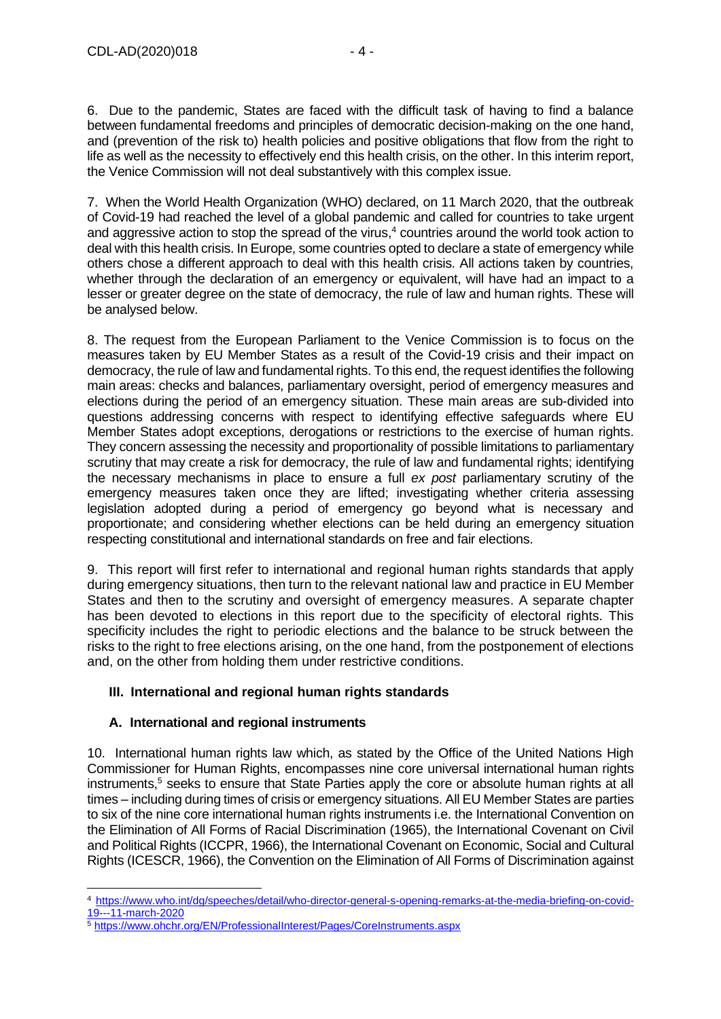6. Due to the pandemic, States are faced with the difficult task of having to find a balance between fundamental freedoms and principles of democratic decision-making on the one hand, and (prevention of the risk to) health policies and positive obligations that flow from the right to life as well as the necessity to effectively end this health crisis, on the other. In this interim report, the Venice Commission will not deal substantively with this complex issue.

7. When the World Health Organization (WHO) declared, on 11 March 2020, that the outbreak of Covid-19 had reached the level of a global pandemic and called for countries to take urgent and aggressive action to stop the spread of the virus,<sup>4</sup> countries around the world took action to deal with this health crisis. In Europe, some countries opted to declare a state of emergency while others chose a different approach to deal with this health crisis. All actions taken by countries, whether through the declaration of an emergency or equivalent, will have had an impact to a lesser or greater degree on the state of democracy, the rule of law and human rights. These will be analysed below.

8. The request from the European Parliament to the Venice Commission is to focus on the measures taken by EU Member States as a result of the Covid-19 crisis and their impact on democracy, the rule of law and fundamental rights. To this end, the request identifies the following main areas: checks and balances, parliamentary oversight, period of emergency measures and elections during the period of an emergency situation. These main areas are sub-divided into questions addressing concerns with respect to identifying effective safeguards where EU Member States adopt exceptions, derogations or restrictions to the exercise of human rights. They concern assessing the necessity and proportionality of possible limitations to parliamentary scrutiny that may create a risk for democracy, the rule of law and fundamental rights; identifying the necessary mechanisms in place to ensure a full *ex post* parliamentary scrutiny of the emergency measures taken once they are lifted; investigating whether criteria assessing legislation adopted during a period of emergency go beyond what is necessary and proportionate; and considering whether elections can be held during an emergency situation respecting constitutional and international standards on free and fair elections.

9. This report will first refer to international and regional human rights standards that apply during emergency situations, then turn to the relevant national law and practice in EU Member States and then to the scrutiny and oversight of emergency measures. A separate chapter has been devoted to elections in this report due to the specificity of electoral rights. This specificity includes the right to periodic elections and the balance to be struck between the risks to the right to free elections arising, on the one hand, from the postponement of elections and, on the other from holding them under restrictive conditions.

### <span id="page-3-0"></span>**III. International and regional human rights standards**

### <span id="page-3-1"></span>**A. International and regional instruments**

10. International human rights law which, as stated by the Office of the United Nations High Commissioner for Human Rights, encompasses nine core universal international human rights instruments,<sup>5</sup> seeks to ensure that State Parties apply the core or absolute human rights at all times – including during times of crisis or emergency situations. All EU Member States are parties to six of the nine core international human rights instruments i.e. the International Convention on the Elimination of All Forms of Racial Discrimination (1965), the International Covenant on Civil and Political Rights (ICCPR, 1966), the International Covenant on Economic, Social and Cultural Rights (ICESCR, 1966), the Convention on the Elimination of All Forms of Discrimination against

<sup>4</sup> [https://www.who.int/dg/speeches/detail/who-director-general-s-opening-remarks-at-the-media-briefing-on-covid-](https://www.who.int/dg/speeches/detail/who-director-general-s-opening-remarks-at-the-media-briefing-on-covid-19---11-march-2020)[19---11-march-2020](https://www.who.int/dg/speeches/detail/who-director-general-s-opening-remarks-at-the-media-briefing-on-covid-19---11-march-2020)

<sup>5</sup> <https://www.ohchr.org/EN/ProfessionalInterest/Pages/CoreInstruments.aspx>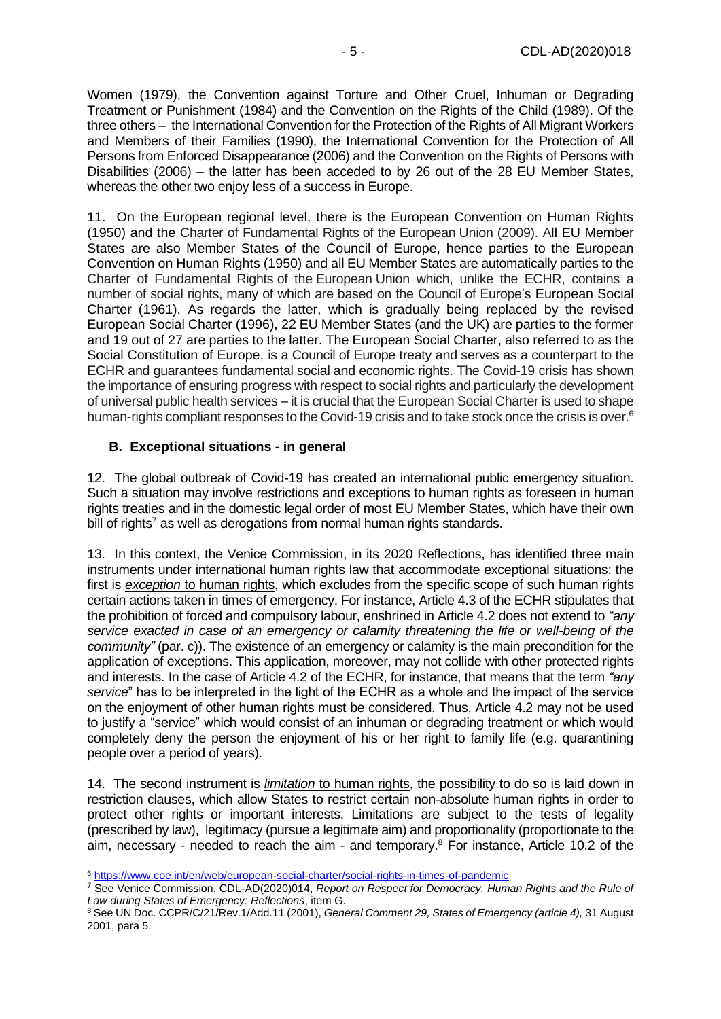Women (1979), the Convention against Torture and Other Cruel, Inhuman or Degrading Treatment or Punishment (1984) and the Convention on the Rights of the Child (1989). Of the three others – the International Convention for the Protection of the Rights of All Migrant Workers and Members of their Families (1990), the International Convention for the Protection of All Persons from Enforced Disappearance (2006) and the Convention on the Rights of Persons with Disabilities (2006) – the latter has been acceded to by 26 out of the 28 EU Member States, whereas the other two enjoy less of a success in Europe.

11. On the European regional level, there is the European Convention on Human Rights (1950) and the Charter of Fundamental Rights of the European Union (2009). All EU Member States are also Member States of the Council of Europe, hence parties to the European Convention on Human Rights (1950) and all EU Member States are automatically parties to the Charter of Fundamental Rights of the European Union which, unlike the ECHR, contains a number of social rights, many of which are based on the Council of Europe's European Social Charter (1961). As regards the latter, which is gradually being replaced by the revised European Social Charter (1996), 22 EU Member States (and the UK) are parties to the former and 19 out of 27 are parties to the latter. The European Social Charter, also referred to as the Social Constitution of Europe, is a Council of Europe treaty and serves as a counterpart to the ECHR and guarantees fundamental social and economic rights. The Covid-19 crisis has shown the importance of ensuring progress with respect to social rights and particularly the development of universal public health services – it is crucial that the European Social Charter is used to shape human-rights compliant responses to the Covid-19 crisis and to take stock once the crisis is over.<sup>6</sup>

### <span id="page-4-0"></span>**B. Exceptional situations - in general**

12. The global outbreak of Covid-19 has created an international public emergency situation. Such a situation may involve restrictions and exceptions to human rights as foreseen in human rights treaties and in the domestic legal order of most EU Member States, which have their own bill of rights<sup>7</sup> as well as derogations from normal human rights standards.

13. In this context, the Venice Commission, in its 2020 Reflections, has identified three main instruments under international human rights law that accommodate exceptional situations: the first is *exception* to human rights, which excludes from the specific scope of such human rights certain actions taken in times of emergency. For instance, Article 4.3 of the ECHR stipulates that the prohibition of forced and compulsory labour, enshrined in Article 4.2 does not extend to *"any service exacted in case of an emergency or calamity threatening the life or well-being of the community"* (par. c)). The existence of an emergency or calamity is the main precondition for the application of exceptions. This application, moreover, may not collide with other protected rights and interests. In the case of Article 4.2 of the ECHR, for instance, that means that the term *"any service*" has to be interpreted in the light of the ECHR as a whole and the impact of the service on the enjoyment of other human rights must be considered. Thus, Article 4.2 may not be used to justify a "service" which would consist of an inhuman or degrading treatment or which would completely deny the person the enjoyment of his or her right to family life (e.g. quarantining people over a period of years).

14. The second instrument is *limitation* to human rights, the possibility to do so is laid down in restriction clauses, which allow States to restrict certain non-absolute human rights in order to protect other rights or important interests. Limitations are subject to the tests of legality (prescribed by law), legitimacy (pursue a legitimate aim) and proportionality (proportionate to the aim, necessary - needed to reach the aim - and temporary.<sup>8</sup> For instance, Article 10.2 of the

<sup>6</sup> <https://www.coe.int/en/web/european-social-charter/social-rights-in-times-of-pandemic>

<sup>7</sup> See Venice Commission, CDL-AD(2020)014, *Report on Respect for Democracy, Human Rights and the Rule of Law during States of Emergency: Reflections*, item G.

<sup>8</sup> See UN Doc. CCPR/C/21/Rev.1/Add.11 (2001), *General Comment 29, States of Emergency (article 4),* 31 August 2001, para 5.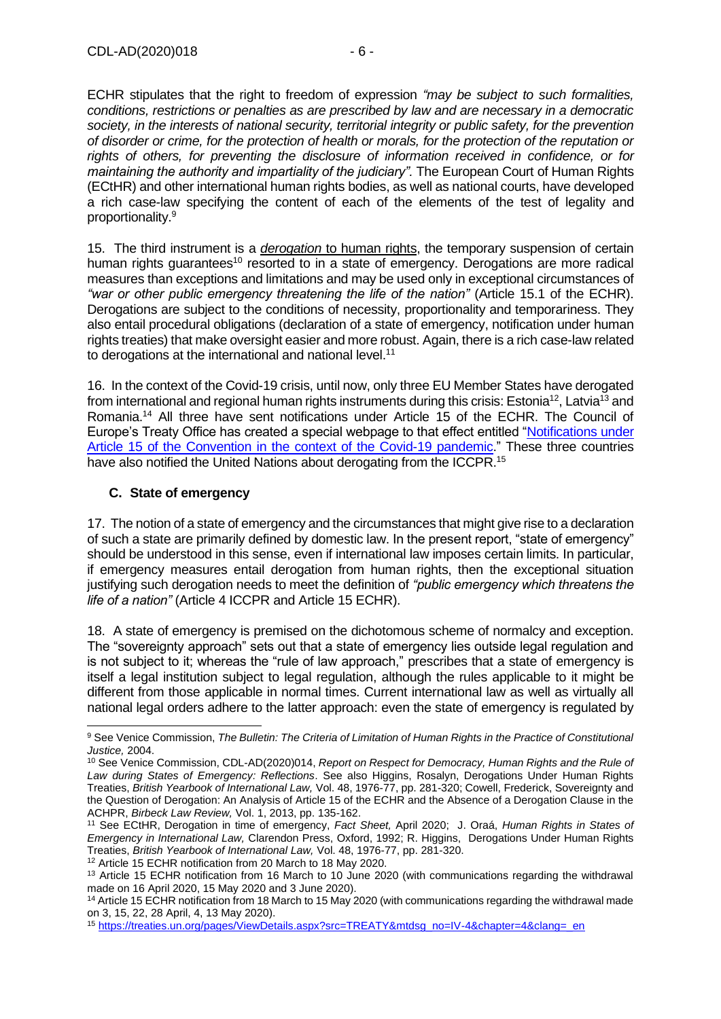ECHR stipulates that the right to freedom of expression *"may be subject to such formalities, conditions, restrictions or penalties as are prescribed by law and are necessary in a democratic society, in the interests of national security, territorial integrity or public safety, for the prevention of disorder or crime, for the protection of health or morals, for the protection of the reputation or rights of others, for preventing the disclosure of information received in confidence, or for maintaining the authority and impartiality of the judiciary".* The European Court of Human Rights (ECtHR) and other international human rights bodies, as well as national courts, have developed a rich case-law specifying the content of each of the elements of the test of legality and proportionality. 9

15. The third instrument is a *derogation* to human rights, the temporary suspension of certain human rights guarantees<sup>10</sup> resorted to in a state of emergency. Derogations are more radical measures than exceptions and limitations and may be used only in exceptional circumstances of *"war or other public emergency threatening the life of the nation"* (Article 15.1 of the ECHR). Derogations are subject to the conditions of necessity, proportionality and temporariness. They also entail procedural obligations (declaration of a state of emergency, notification under human rights treaties) that make oversight easier and more robust. Again, there is a rich case-law related to derogations at the international and national level.<sup>11</sup>

16. In the context of the Covid-19 crisis, until now, only three EU Member States have derogated from international and regional human rights instruments during this crisis: Estonia<sup>12</sup>. Latvia<sup>13</sup> and Romania.<sup>14</sup> All three have sent notifications under Article 15 of the ECHR. The Council of Europe's Treaty Office has created a special webpage to that effect entitled ["Notifications under](https://www.coe.int/en/web/conventions/full-list/-/conventions/webContent/62111354)  [Article 15 of the Convention in the context of the Covid-19 pandemic.](https://www.coe.int/en/web/conventions/full-list/-/conventions/webContent/62111354)" These three countries have also notified the United Nations about derogating from the ICCPR.<sup>15</sup>

### <span id="page-5-0"></span>**C. State of emergency**

17. The notion of a state of emergency and the circumstances that might give rise to a declaration of such a state are primarily defined by domestic law. In the present report, "state of emergency" should be understood in this sense, even if international law imposes certain limits. In particular, if emergency measures entail derogation from human rights, then the exceptional situation justifying such derogation needs to meet the definition of *"public emergency which threatens the life of a nation"* (Article 4 ICCPR and Article 15 ECHR).

18. A state of emergency is premised on the dichotomous scheme of normalcy and exception. The "sovereignty approach" sets out that a state of emergency lies outside legal regulation and is not subject to it; whereas the "rule of law approach," prescribes that a state of emergency is itself a legal institution subject to legal regulation, although the rules applicable to it might be different from those applicable in normal times. Current international law as well as virtually all national legal orders adhere to the latter approach: even the state of emergency is regulated by

<sup>12</sup> Article 15 ECHR notification from 20 March to 18 May 2020.

<sup>9</sup> See Venice Commission, *The Bulletin: The Criteria of Limitation of Human Rights in the Practice of Constitutional Justice,* 2004.

<sup>10</sup> See Venice Commission, CDL-AD(2020)014, *Report on Respect for Democracy, Human Rights and the Rule of Law during States of Emergency: Reflections*. See also Higgins, Rosalyn, Derogations Under Human Rights Treaties, *British Yearbook of International Law,* Vol. 48, 1976-77, pp. 281-320; Cowell, Frederick, Sovereignty and the Question of Derogation: An Analysis of Article 15 of the ECHR and the Absence of a Derogation Clause in the ACHPR, *Birbeck Law Review,* Vol. 1, 2013, pp. 135-162.

<sup>11</sup> See ECtHR, Derogation in time of emergency, *Fact Sheet,* April 2020; J. Oraá, *Human Rights in States of Emergency in International Law,* Clarendon Press, Oxford, 1992; R. Higgins, Derogations Under Human Rights Treaties, *British Yearbook of International Law,* Vol. 48, 1976-77, pp. 281-320.

<sup>&</sup>lt;sup>13</sup> Article 15 ECHR notification from 16 March to 10 June 2020 (with communications regarding the withdrawal made on 16 April 2020, 15 May 2020 and 3 June 2020).

<sup>&</sup>lt;sup>14</sup> Article 15 ECHR notification from 18 March to 15 May 2020 (with communications regarding the withdrawal made on 3, 15, 22, 28 April, 4, 13 May 2020).

<sup>15</sup> [https://treaties.un.org/pages/ViewDetails.aspx?src=TREATY&mtdsg\\_no=IV-4&chapter=4&clang=\\_en](https://treaties.un.org/pages/ViewDetails.aspx?src=TREATY&mtdsg_no=IV-4&chapter=4&clang=_en)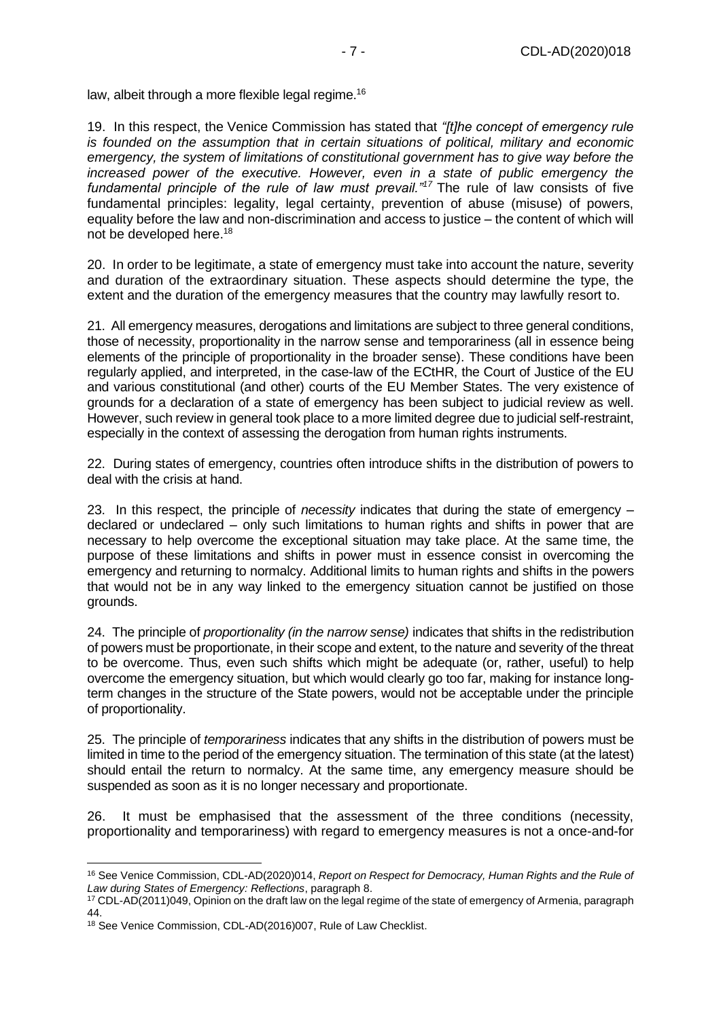law, albeit through a more flexible legal regime.<sup>16</sup>

19. In this respect, the Venice Commission has stated that *"[t]he concept of emergency rule is founded on the assumption that in certain situations of political, military and economic emergency, the system of limitations of constitutional government has to give way before the increased power of the executive. However, even in a state of public emergency the fundamental principle of the rule of law must prevail."<sup>17</sup>* The rule of law consists of five fundamental principles: legality, legal certainty, prevention of abuse (misuse) of powers, equality before the law and non-discrimination and access to justice – the content of which will not be developed here.<sup>18</sup>

20. In order to be legitimate, a state of emergency must take into account the nature, severity and duration of the extraordinary situation. These aspects should determine the type, the extent and the duration of the emergency measures that the country may lawfully resort to.

21. All emergency measures, derogations and limitations are subject to three general conditions, those of necessity, proportionality in the narrow sense and temporariness (all in essence being elements of the principle of proportionality in the broader sense). These conditions have been regularly applied, and interpreted, in the case-law of the ECtHR, the Court of Justice of the EU and various constitutional (and other) courts of the EU Member States. The very existence of grounds for a declaration of a state of emergency has been subject to judicial review as well. However, such review in general took place to a more limited degree due to judicial self-restraint, especially in the context of assessing the derogation from human rights instruments.

22. During states of emergency, countries often introduce shifts in the distribution of powers to deal with the crisis at hand.

23. In this respect, the principle of *necessity* indicates that during the state of emergency – declared or undeclared – only such limitations to human rights and shifts in power that are necessary to help overcome the exceptional situation may take place. At the same time, the purpose of these limitations and shifts in power must in essence consist in overcoming the emergency and returning to normalcy. Additional limits to human rights and shifts in the powers that would not be in any way linked to the emergency situation cannot be justified on those grounds.

24. The principle of *proportionality (in the narrow sense)* indicates that shifts in the redistribution of powers must be proportionate, in their scope and extent, to the nature and severity of the threat to be overcome. Thus, even such shifts which might be adequate (or, rather, useful) to help overcome the emergency situation, but which would clearly go too far, making for instance longterm changes in the structure of the State powers, would not be acceptable under the principle of proportionality.

25. The principle of *temporariness* indicates that any shifts in the distribution of powers must be limited in time to the period of the emergency situation. The termination of this state (at the latest) should entail the return to normalcy. At the same time, any emergency measure should be suspended as soon as it is no longer necessary and proportionate.

26. It must be emphasised that the assessment of the three conditions (necessity, proportionality and temporariness) with regard to emergency measures is not a once-and-for

<sup>16</sup> See Venice Commission, CDL-AD(2020)014, *Report on Respect for Democracy, Human Rights and the Rule of Law during States of Emergency: Reflections*, paragraph 8.

<sup>17</sup> CDL-AD(2011)049, Opinion on the draft law on the legal regime of the state of emergency of Armenia, paragraph 44.

<sup>18</sup> See Venice Commission, CDL-AD(2016)007, Rule of Law Checklist.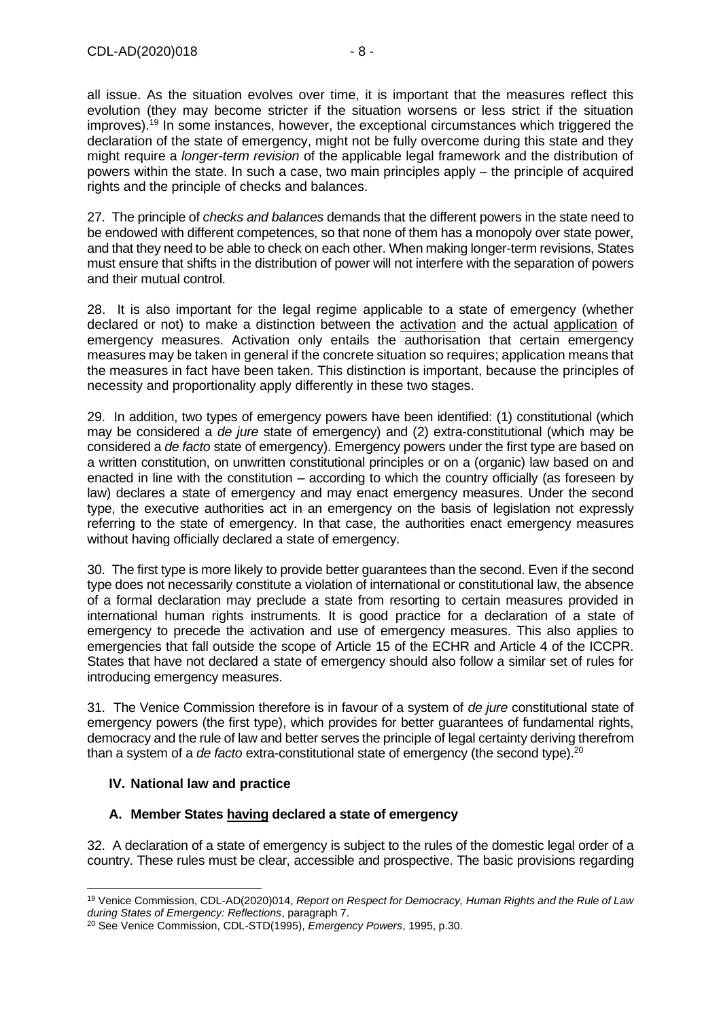all issue. As the situation evolves over time, it is important that the measures reflect this evolution (they may become stricter if the situation worsens or less strict if the situation improves).<sup>19</sup> In some instances, however, the exceptional circumstances which triggered the declaration of the state of emergency, might not be fully overcome during this state and they might require a *longer-term revision* of the applicable legal framework and the distribution of powers within the state. In such a case, two main principles apply – the principle of acquired rights and the principle of checks and balances.

27. The principle of *checks and balances* demands that the different powers in the state need to be endowed with different competences, so that none of them has a monopoly over state power, and that they need to be able to check on each other. When making longer-term revisions, States must ensure that shifts in the distribution of power will not interfere with the separation of powers and their mutual control.

28. It is also important for the legal regime applicable to a state of emergency (whether declared or not) to make a distinction between the activation and the actual application of emergency measures. Activation only entails the authorisation that certain emergency measures may be taken in general if the concrete situation so requires; application means that the measures in fact have been taken. This distinction is important, because the principles of necessity and proportionality apply differently in these two stages.

29. In addition, two types of emergency powers have been identified: (1) constitutional (which may be considered a *de jure* state of emergency) and (2) extra-constitutional (which may be considered a *de facto* state of emergency). Emergency powers under the first type are based on a written constitution, on unwritten constitutional principles or on a (organic) law based on and enacted in line with the constitution – according to which the country officially (as foreseen by law) declares a state of emergency and may enact emergency measures. Under the second type, the executive authorities act in an emergency on the basis of legislation not expressly referring to the state of emergency. In that case, the authorities enact emergency measures without having officially declared a state of emergency.

30. The first type is more likely to provide better guarantees than the second. Even if the second type does not necessarily constitute a violation of international or constitutional law, the absence of a formal declaration may preclude a state from resorting to certain measures provided in international human rights instruments. It is good practice for a declaration of a state of emergency to precede the activation and use of emergency measures. This also applies to emergencies that fall outside the scope of Article 15 of the ECHR and Article 4 of the ICCPR. States that have not declared a state of emergency should also follow a similar set of rules for introducing emergency measures.

31. The Venice Commission therefore is in favour of a system of *de jure* constitutional state of emergency powers (the first type), which provides for better guarantees of fundamental rights, democracy and the rule of law and better serves the principle of legal certainty deriving therefrom than a system of a *de facto* extra-constitutional state of emergency (the second type).<sup>20</sup>

### <span id="page-7-0"></span>**IV. National law and practice**

### <span id="page-7-1"></span>**A. Member States having declared a state of emergency**

32. A declaration of a state of emergency is subject to the rules of the domestic legal order of a country. These rules must be clear, accessible and prospective. The basic provisions regarding

<sup>19</sup> Venice Commission, CDL-AD(2020)014, *Report on Respect for Democracy, Human Rights and the Rule of Law during States of Emergency: Reflections*, paragraph 7.

<sup>20</sup> See Venice Commission, CDL-STD(1995), *Emergency Powers*, 1995, p.30.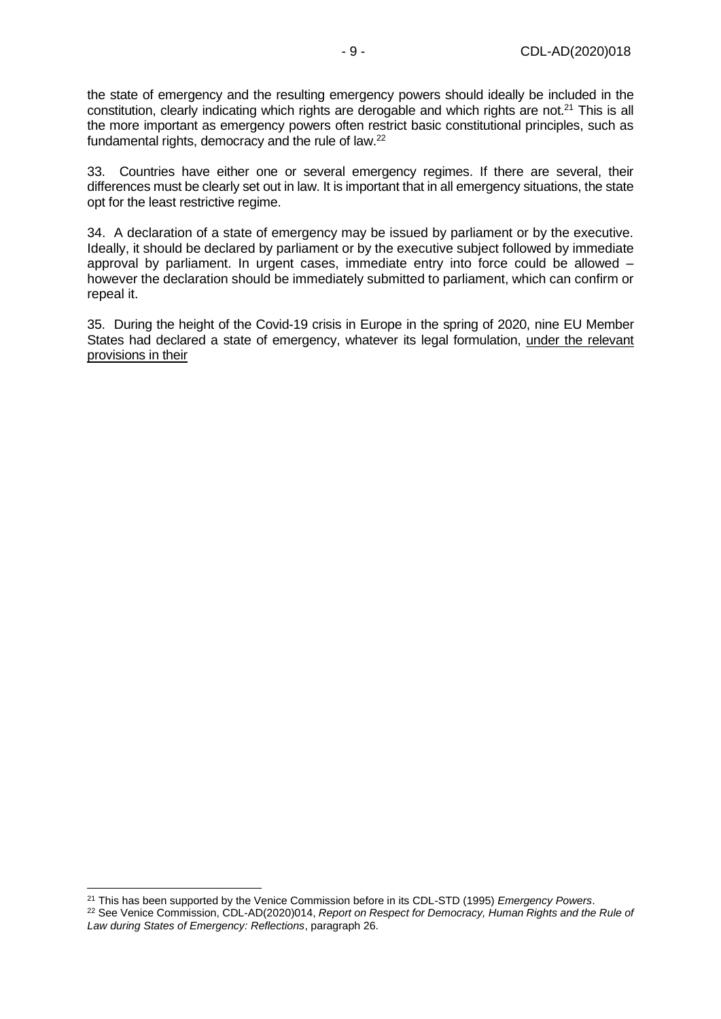the state of emergency and the resulting emergency powers should ideally be included in the constitution, clearly indicating which rights are derogable and which rights are not.<sup>21</sup> This is all the more important as emergency powers often restrict basic constitutional principles, such as fundamental rights, democracy and the rule of law.<sup>22</sup>

33. Countries have either one or several emergency regimes. If there are several, their differences must be clearly set out in law. It is important that in all emergency situations, the state opt for the least restrictive regime.

34. A declaration of a state of emergency may be issued by parliament or by the executive. Ideally, it should be declared by parliament or by the executive subject followed by immediate approval by parliament. In urgent cases, immediate entry into force could be allowed – however the declaration should be immediately submitted to parliament, which can confirm or repeal it.

35. During the height of the Covid-19 crisis in Europe in the spring of 2020, nine EU Member States had declared a state of emergency, whatever its legal formulation, under the relevant provisions in their

<sup>21</sup> This has been supported by the Venice Commission before in its CDL-STD (1995) *Emergency Powers*. <sup>22</sup> See Venice Commission, CDL-AD(2020)014, *Report on Respect for Democracy, Human Rights and the Rule of Law during States of Emergency: Reflections*, paragraph 26.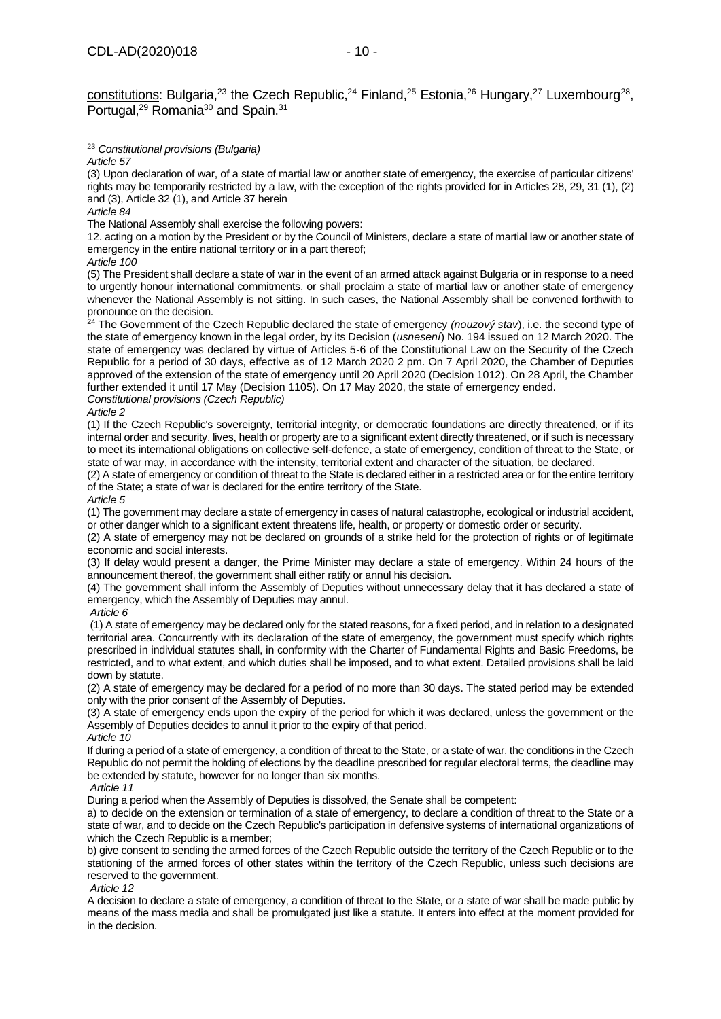constitutions: Bulgaria,<sup>23</sup> the Czech Republic,<sup>24</sup> Finland,<sup>25</sup> Estonia,<sup>26</sup> Hungary,<sup>27</sup> Luxembourg<sup>28</sup>, Portugal,<sup>29</sup> Romania<sup>30</sup> and Spain.<sup>31</sup>

<sup>23</sup> *Constitutional provisions (Bulgaria)*

(3) Upon declaration of war, of a state of martial law or another state of emergency, the exercise of particular citizens' rights may be temporarily restricted by a law, with the exception of the rights provided for in Articles 28, 29, 31 (1), (2) and (3), Article 32 (1), and Article 37 herein

The National Assembly shall exercise the following powers:

12. acting on a motion by the President or by the Council of Ministers, declare a state of martial law or another state of emergency in the entire national territory or in a part thereof;

*Article 100*

(5) The President shall declare a state of war in the event of an armed attack against Bulgaria or in response to a need to urgently honour international commitments, or shall proclaim a state of martial law or another state of emergency whenever the National Assembly is not sitting. In such cases, the National Assembly shall be convened forthwith to pronounce on the decision.

<sup>24</sup> The Government of the Czech Republic declared the state of emergency *(nouzový stav*), i.e. the second type of the state of emergency known in the legal order, by its Decision (*usnesení*) No. 194 issued on 12 March 2020. The state of emergency was declared by virtue of Articles 5-6 of the Constitutional Law on the Security of the Czech Republic for a period of 30 days, effective as of 12 March 2020 2 pm. On 7 April 2020, the Chamber of Deputies approved of the extension of the state of emergency until 20 April 2020 (Decision 1012). On 28 April, the Chamber further extended it until 17 May (Decision 1105). On 17 May 2020, the state of emergency ended. *Constitutional provisions (Czech Republic)*

*Article 2*

(1) If the Czech Republic's sovereignty, territorial integrity, or democratic foundations are directly threatened, or if its internal order and security, lives, health or property are to a significant extent directly threatened, or if such is necessary to meet its international obligations on collective self-defence, a state of emergency, condition of threat to the State, or state of war may, in accordance with the intensity, territorial extent and character of the situation, be declared.

(2) A state of emergency or condition of threat to the State is declared either in a restricted area or for the entire territory of the State; a state of war is declared for the entire territory of the State.

*Article 5*

(1) The government may declare a state of emergency in cases of natural catastrophe, ecological or industrial accident, or other danger which to a significant extent threatens life, health, or property or domestic order or security.

(2) A state of emergency may not be declared on grounds of a strike held for the protection of rights or of legitimate economic and social interests.

(3) If delay would present a danger, the Prime Minister may declare a state of emergency. Within 24 hours of the announcement thereof, the government shall either ratify or annul his decision.

(4) The government shall inform the Assembly of Deputies without unnecessary delay that it has declared a state of emergency, which the Assembly of Deputies may annul.

*Article 6*

(1) A state of emergency may be declared only for the stated reasons, for a fixed period, and in relation to a designated territorial area. Concurrently with its declaration of the state of emergency, the government must specify which rights prescribed in individual statutes shall, in conformity with the Charter of Fundamental Rights and Basic Freedoms, be restricted, and to what extent, and which duties shall be imposed, and to what extent. Detailed provisions shall be laid down by statute.

(2) A state of emergency may be declared for a period of no more than 30 days. The stated period may be extended only with the prior consent of the Assembly of Deputies.

(3) A state of emergency ends upon the expiry of the period for which it was declared, unless the government or the Assembly of Deputies decides to annul it prior to the expiry of that period.

*Article 10* If during a period of a state of emergency, a condition of threat to the State, or a state of war, the conditions in the Czech Republic do not permit the holding of elections by the deadline prescribed for regular electoral terms, the deadline may be extended by statute, however for no longer than six months.

*Article 11*

During a period when the Assembly of Deputies is dissolved, the Senate shall be competent:

a) to decide on the extension or termination of a state of emergency, to declare a condition of threat to the State or a state of war, and to decide on the Czech Republic's participation in defensive systems of international organizations of which the Czech Republic is a member;

b) give consent to sending the armed forces of the Czech Republic outside the territory of the Czech Republic or to the stationing of the armed forces of other states within the territory of the Czech Republic, unless such decisions are reserved to the government.

*Article 12*

A decision to declare a state of emergency, a condition of threat to the State, or a state of war shall be made public by means of the mass media and shall be promulgated just like a statute. It enters into effect at the moment provided for in the decision.

*Article 57*

*Article 84*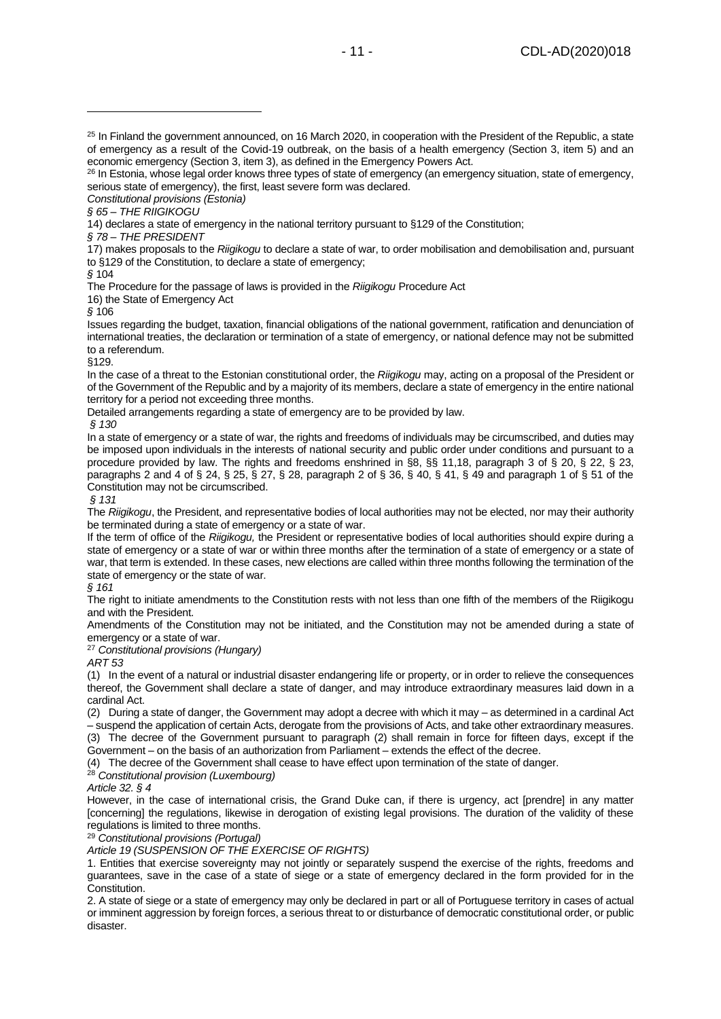*Constitutional provisions (Estonia)*

*§ 65 – THE RIIGIKOGU*

14) declares a state of emergency in the national territory pursuant to §129 of the Constitution;

*§ 78 – THE PRESIDENT* 

17) makes proposals to the *Riigikogu* to declare a state of war, to order mobilisation and demobilisation and, pursuant to §129 of the Constitution, to declare a state of emergency;

*§* 104

The Procedure for the passage of laws is provided in the *Riigikogu* Procedure Act

16) the State of Emergency Act

*§* 106

Issues regarding the budget, taxation, financial obligations of the national government, ratification and denunciation of international treaties, the declaration or termination of a state of emergency, or national defence may not be submitted to a referendum.

§129.

In the case of a threat to the Estonian constitutional order, the *Riigikogu* may, acting on a proposal of the President or of the Government of the Republic and by a majority of its members, declare a state of emergency in the entire national territory for a period not exceeding three months.

Detailed arrangements regarding a state of emergency are to be provided by law.

*§ 130*

In a state of emergency or a state of war, the rights and freedoms of individuals may be circumscribed, and duties may be imposed upon individuals in the interests of national security and public order under conditions and pursuant to a procedure provided by law. The rights and freedoms enshrined in §8, §§ 11,18, paragraph 3 of § 20, § 22, § 23, paragraphs 2 and 4 of § 24, § 25, § 27, § 28, paragraph 2 of § 36, § 40, § 41, § 49 and paragraph 1 of § 51 of the Constitution may not be circumscribed.

*§ 131*

The *Riigikogu*, the President, and representative bodies of local authorities may not be elected, nor may their authority be terminated during a state of emergency or a state of war.

If the term of office of the *Riigikogu,* the President or representative bodies of local authorities should expire during a state of emergency or a state of war or within three months after the termination of a state of emergency or a state of war, that term is extended. In these cases, new elections are called within three months following the termination of the state of emergency or the state of war.

*§ 161*

The right to initiate amendments to the Constitution rests with not less than one fifth of the members of the Riigikogu and with the President.

Amendments of the Constitution may not be initiated, and the Constitution may not be amended during a state of emergency or a state of war.

<sup>27</sup> *Constitutional provisions (Hungary)*

*ART 53* 

(1) In the event of a natural or industrial disaster endangering life or property, or in order to relieve the consequences thereof, the Government shall declare a state of danger, and may introduce extraordinary measures laid down in a cardinal Act.

(2) During a state of danger, the Government may adopt a decree with which it may – as determined in a cardinal Act – suspend the application of certain Acts, derogate from the provisions of Acts, and take other extraordinary measures. (3) The decree of the Government pursuant to paragraph (2) shall remain in force for fifteen days, except if the Government – on the basis of an authorization from Parliament – extends the effect of the decree.

(4) The decree of the Government shall cease to have effect upon termination of the state of danger.

#### <sup>28</sup> *Constitutional provision (Luxembourg)*

*Article 32. § 4*

However, in the case of international crisis, the Grand Duke can, if there is urgency, act [prendre] in any matter [concerning] the regulations, likewise in derogation of existing legal provisions. The duration of the validity of these regulations is limited to three months.

<sup>29</sup> *Constitutional provisions (Portugal)*

*Article 19 (SUSPENSION OF THE EXERCISE OF RIGHTS)* 

1. Entities that exercise sovereignty may not jointly or separately suspend the exercise of the rights, freedoms and guarantees, save in the case of a state of siege or a state of emergency declared in the form provided for in the Constitution.

2. A state of siege or a state of emergency may only be declared in part or all of Portuguese territory in cases of actual or imminent aggression by foreign forces, a serious threat to or disturbance of democratic constitutional order, or public disaster.

<sup>&</sup>lt;sup>25</sup> In Finland the government announced, on 16 March 2020, in cooperation with the President of the Republic, a state of emergency as a result of the Covid-19 outbreak, on the basis of a health emergency (Section 3, item 5) and an economic emergency (Section 3, item 3), as defined in the Emergency Powers Act.

<sup>&</sup>lt;sup>26</sup> In Estonia, whose legal order knows three types of state of emergency (an emergency situation, state of emergency, serious state of emergency), the first, least severe form was declared.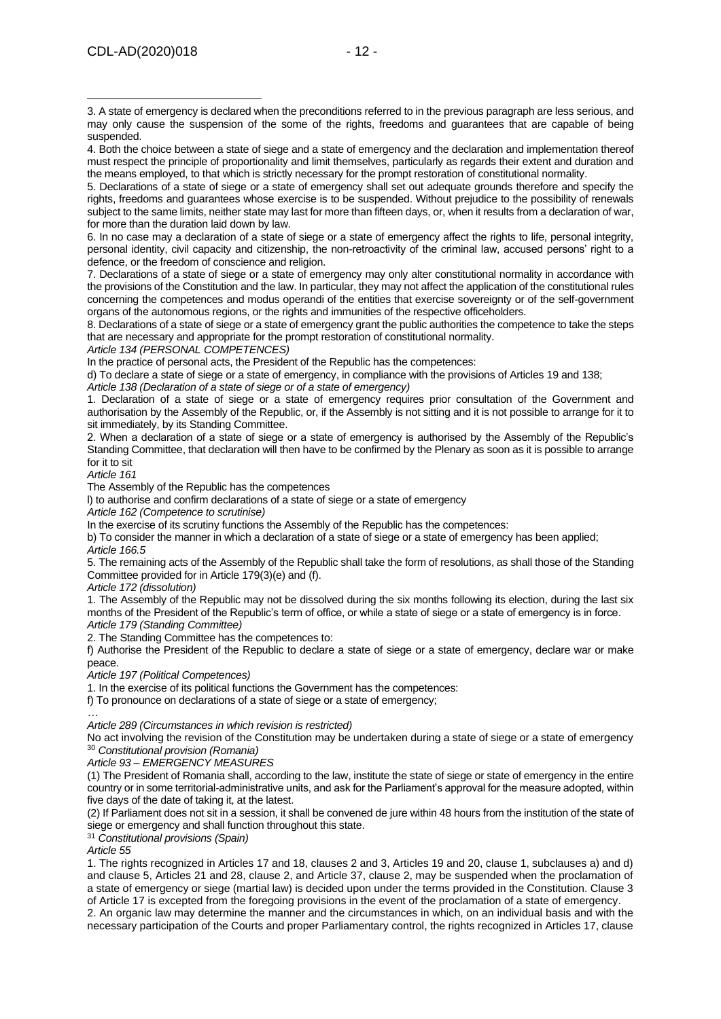5. Declarations of a state of siege or a state of emergency shall set out adequate grounds therefore and specify the rights, freedoms and guarantees whose exercise is to be suspended. Without prejudice to the possibility of renewals subject to the same limits, neither state may last for more than fifteen days, or, when it results from a declaration of war, for more than the duration laid down by law.

6. In no case may a declaration of a state of siege or a state of emergency affect the rights to life, personal integrity, personal identity, civil capacity and citizenship, the non-retroactivity of the criminal law, accused persons' right to a defence, or the freedom of conscience and religion.

7. Declarations of a state of siege or a state of emergency may only alter constitutional normality in accordance with the provisions of the Constitution and the law. In particular, they may not affect the application of the constitutional rules concerning the competences and modus operandi of the entities that exercise sovereignty or of the self-government organs of the autonomous regions, or the rights and immunities of the respective officeholders.

8. Declarations of a state of siege or a state of emergency grant the public authorities the competence to take the steps that are necessary and appropriate for the prompt restoration of constitutional normality.

*Article 134 (PERSONAL COMPETENCES)*

In the practice of personal acts, the President of the Republic has the competences:

d) To declare a state of siege or a state of emergency, in compliance with the provisions of Articles 19 and 138;

*Article 138 (Declaration of a state of siege or of a state of emergency)* 

1. Declaration of a state of siege or a state of emergency requires prior consultation of the Government and authorisation by the Assembly of the Republic, or, if the Assembly is not sitting and it is not possible to arrange for it to sit immediately, by its Standing Committee.

2. When a declaration of a state of siege or a state of emergency is authorised by the Assembly of the Republic's Standing Committee, that declaration will then have to be confirmed by the Plenary as soon as it is possible to arrange for it to sit

*Article 161*

The Assembly of the Republic has the competences

l) to authorise and confirm declarations of a state of siege or a state of emergency

*Article 162 (Competence to scrutinise)* 

In the exercise of its scrutiny functions the Assembly of the Republic has the competences:

b) To consider the manner in which a declaration of a state of siege or a state of emergency has been applied; *Article 166.5*

5. The remaining acts of the Assembly of the Republic shall take the form of resolutions, as shall those of the Standing Committee provided for in Article 179(3)(e) and (f).

*Article 172 (dissolution)* 

1. The Assembly of the Republic may not be dissolved during the six months following its election, during the last six months of the President of the Republic's term of office, or while a state of siege or a state of emergency is in force. *Article 179 (Standing Committee)* 

2. The Standing Committee has the competences to:

f) Authorise the President of the Republic to declare a state of siege or a state of emergency, declare war or make peace.

*Article 197 (Political Competences)*

1. In the exercise of its political functions the Government has the competences:

f) To pronounce on declarations of a state of siege or a state of emergency;

*… Article 289 (Circumstances in which revision is restricted)*

No act involving the revision of the Constitution may be undertaken during a state of siege or a state of emergency <sup>30</sup> *Constitutional provision (Romania)*

*Article 93 – EMERGENCY MEASURES*

(1) The President of Romania shall, according to the law, institute the state of siege or state of emergency in the entire country or in some territorial-administrative units, and ask for the Parliament's approval for the measure adopted, within five days of the date of taking it, at the latest.

(2) If Parliament does not sit in a session, it shall be convened de jure within 48 hours from the institution of the state of siege or emergency and shall function throughout this state.

<sup>31</sup> *Constitutional provisions (Spain)*

*Article 55*

1. The rights recognized in Articles 17 and 18, clauses 2 and 3, Articles 19 and 20, clause 1, subclauses a) and d) and clause 5, Articles 21 and 28, clause 2, and Article 37, clause 2, may be suspended when the proclamation of a state of emergency or siege (martial law) is decided upon under the terms provided in the Constitution. Clause 3 of Article 17 is excepted from the foregoing provisions in the event of the proclamation of a state of emergency.

2. An organic law may determine the manner and the circumstances in which, on an individual basis and with the necessary participation of the Courts and proper Parliamentary control, the rights recognized in Articles 17, clause

<sup>3.</sup> A state of emergency is declared when the preconditions referred to in the previous paragraph are less serious, and may only cause the suspension of the some of the rights, freedoms and guarantees that are capable of being suspended.

<sup>4.</sup> Both the choice between a state of siege and a state of emergency and the declaration and implementation thereof must respect the principle of proportionality and limit themselves, particularly as regards their extent and duration and the means employed, to that which is strictly necessary for the prompt restoration of constitutional normality.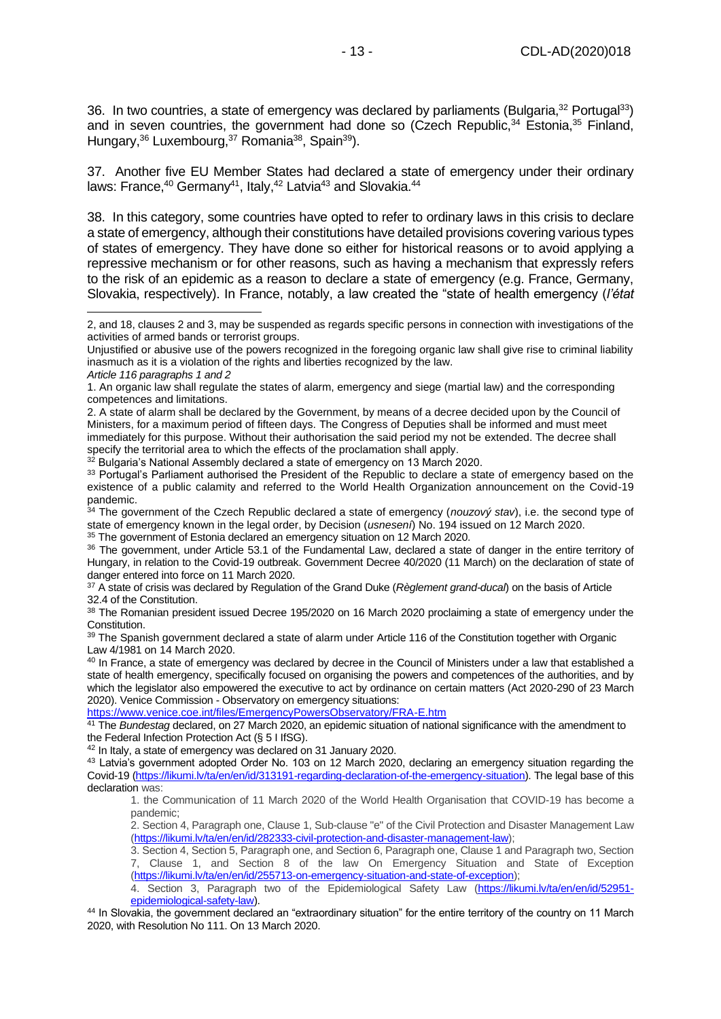36. In two countries, a state of emergency was declared by parliaments (Bulgaria, <sup>32</sup> Portugal<sup>33</sup>) and in seven countries, the government had done so (Czech Republic,  $34$  Estonia,  $35$  Finland, Hungary,<sup>36</sup> Luxembourg,<sup>37</sup> Romania<sup>38</sup>, Spain<sup>39</sup>).

37. Another five EU Member States had declared a state of emergency under their ordinary laws: France,  $40$  Germany<sup>41</sup>, Italy,  $42$  Latvia<sup>43</sup> and Slovakia.  $44$ 

38. In this category, some countries have opted to refer to ordinary laws in this crisis to declare a state of emergency, although their constitutions have detailed provisions covering various types of states of emergency. They have done so either for historical reasons or to avoid applying a repressive mechanism or for other reasons, such as having a mechanism that expressly refers to the risk of an epidemic as a reason to declare a state of emergency (e.g. France, Germany, Slovakia, respectively). In France, notably, a law created the "state of health emergency (*l'état* 

 $32$  Bulgaria's National Assembly declared a state of emergency on 13 March 2020.

<https://www.venice.coe.int/files/EmergencyPowersObservatory/FRA-E.htm>

<sup>2,</sup> and 18, clauses 2 and 3, may be suspended as regards specific persons in connection with investigations of the activities of armed bands or terrorist groups.

Unjustified or abusive use of the powers recognized in the foregoing organic law shall give rise to criminal liability inasmuch as it is a violation of the rights and liberties recognized by the law.

*Article 116 paragraphs 1 and 2*

<sup>1.</sup> An organic law shall regulate the states of alarm, emergency and siege (martial law) and the corresponding competences and limitations.

<sup>2.</sup> A state of alarm shall be declared by the Government, by means of a decree decided upon by the Council of Ministers, for a maximum period of fifteen days. The Congress of Deputies shall be informed and must meet immediately for this purpose. Without their authorisation the said period my not be extended. The decree shall specify the territorial area to which the effects of the proclamation shall apply.

<sup>33</sup> Portugal's Parliament authorised the President of the Republic to declare a state of emergency based on the existence of a public calamity and referred to the World Health Organization announcement on the Covid-19 pandemic.

<sup>34</sup> The government of the Czech Republic declared a state of emergency (*nouzový stav*), i.e. the second type of state of emergency known in the legal order, by Decision (*usnesení*) No. 194 issued on 12 March 2020.

<sup>&</sup>lt;sup>35</sup> The government of Estonia declared an emergency situation on 12 March 2020.

<sup>36</sup> The government, under Article 53.1 of the Fundamental Law, declared a state of danger in the entire territory of Hungary, in relation to the Covid-19 outbreak. Government Decree 40/2020 (11 March) on the declaration of state of danger entered into force on 11 March 2020.

<sup>37</sup> A state of crisis was declared by Regulation of the Grand Duke (*Règlement grand-ducal*) on the basis of Article 32.4 of the Constitution.

<sup>&</sup>lt;sup>38</sup> The Romanian president issued Decree 195/2020 on 16 March 2020 proclaiming a state of emergency under the Constitution.

<sup>39</sup> The Spanish government declared a state of alarm under Article 116 of the Constitution together with Organic Law 4/1981 on 14 March 2020.

 $40$  In France, a state of emergency was declared by decree in the Council of Ministers under a law that established a state of health emergency, specifically focused on organising the powers and competences of the authorities, and by which the legislator also empowered the executive to act by ordinance on certain matters (Act 2020-290 of 23 March 2020). Venice Commission - Observatory on emergency situations:

<sup>&</sup>lt;sup>41</sup> The *Bundestag* declared, on 27 March 2020, an epidemic situation of national significance with the amendment to the Federal Infection Protection Act (§ 5 I IfSG).

<sup>42</sup> In Italy, a state of emergency was declared on 31 January 2020.

<sup>43</sup> Latvia's government adopted Order No. 103 on 12 March 2020, declaring an emergency situation regarding the Covid-19 [\(https://likumi.lv/ta/en/en/id/313191-regarding-declaration-of-the-emergency-situation\)](https://likumi.lv/ta/en/en/id/313191-regarding-declaration-of-the-emergency-situation). The legal base of this declaration was:

<sup>1.</sup> the Communication of 11 March 2020 of the World Health Organisation that COVID-19 has become a pandemic;

<sup>2.</sup> Section 4, Paragraph one, Clause 1, Sub-clause "e" of the Civil Protection and Disaster Management Law [\(https://likumi.lv/ta/en/en/id/282333-civil-protection-and-disaster-management-law\)](https://likumi.lv/ta/en/en/id/282333-civil-protection-and-disaster-management-law);

<sup>3.</sup> Section 4, Section 5, Paragraph one, and Section 6, Paragraph one, Clause 1 and Paragraph two, Section 7, Clause 1, and Section 8 of the law On Emergency Situation and State of Exception [\(https://likumi.lv/ta/en/en/id/255713-on-emergency-situation-and-state-of-exception\)](https://likumi.lv/ta/en/en/id/255713-on-emergency-situation-and-state-of-exception);

<sup>4.</sup> Section 3, Paragraph two of the Epidemiological Safety Law [\(https://likumi.lv/ta/en/en/id/52951](https://likumi.lv/ta/en/en/id/52951-epidemiological-safety-law) [epidemiological-safety-law\)](https://likumi.lv/ta/en/en/id/52951-epidemiological-safety-law).

<sup>44</sup> In Slovakia, the government declared an "extraordinary situation" for the entire territory of the country on 11 March 2020, with Resolution No 111. On 13 March 2020.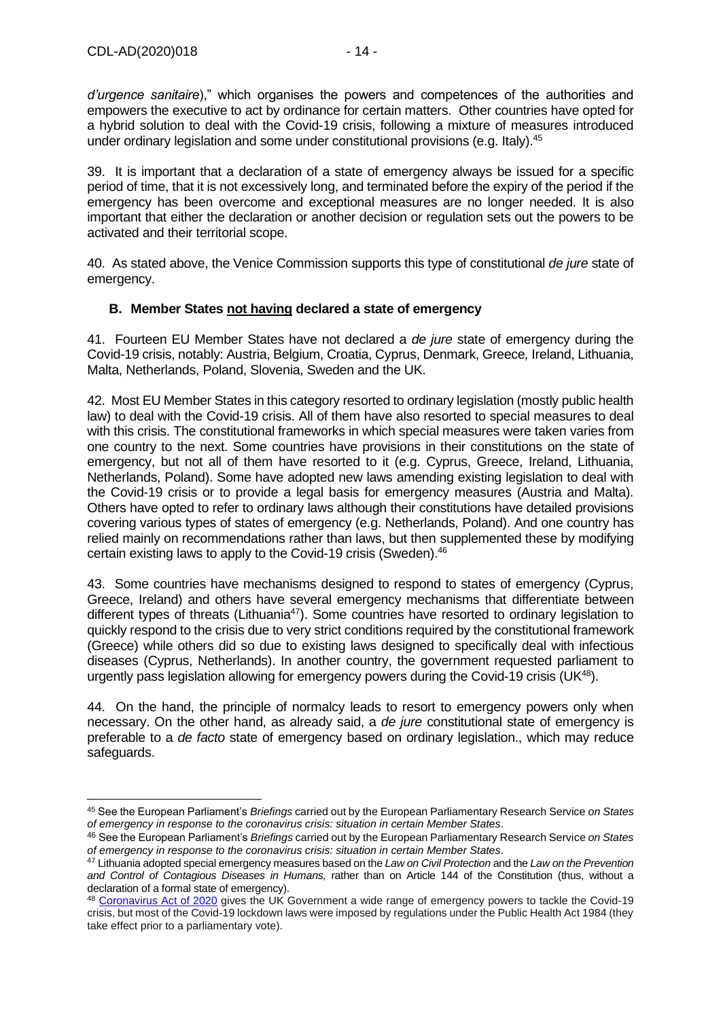*d'urgence sanitaire*)," which organises the powers and competences of the authorities and empowers the executive to act by ordinance for certain matters. Other countries have opted for a hybrid solution to deal with the Covid-19 crisis, following a mixture of measures introduced under ordinary legislation and some under constitutional provisions (e.g. Italy).<sup>45</sup>

39. It is important that a declaration of a state of emergency always be issued for a specific period of time, that it is not excessively long, and terminated before the expiry of the period if the emergency has been overcome and exceptional measures are no longer needed. It is also important that either the declaration or another decision or regulation sets out the powers to be activated and their territorial scope.

40. As stated above, the Venice Commission supports this type of constitutional *de jure* state of emergency.

### <span id="page-13-0"></span>**B. Member States not having declared a state of emergency**

41. Fourteen EU Member States have not declared a *de jure* state of emergency during the Covid-19 crisis, notably: Austria, Belgium, Croatia, Cyprus, Denmark, Greece*,* Ireland, Lithuania, Malta, Netherlands, Poland, Slovenia, Sweden and the UK.

42. Most EU Member States in this category resorted to ordinary legislation (mostly public health law) to deal with the Covid-19 crisis. All of them have also resorted to special measures to deal with this crisis. The constitutional frameworks in which special measures were taken varies from one country to the next. Some countries have provisions in their constitutions on the state of emergency, but not all of them have resorted to it (e.g. Cyprus, Greece, Ireland, Lithuania, Netherlands, Poland). Some have adopted new laws amending existing legislation to deal with the Covid-19 crisis or to provide a legal basis for emergency measures (Austria and Malta). Others have opted to refer to ordinary laws although their constitutions have detailed provisions covering various types of states of emergency (e.g. Netherlands, Poland). And one country has relied mainly on recommendations rather than laws, but then supplemented these by modifying certain existing laws to apply to the Covid-19 crisis (Sweden).<sup>46</sup>

43. Some countries have mechanisms designed to respond to states of emergency (Cyprus, Greece, Ireland) and others have several emergency mechanisms that differentiate between different types of threats (Lithuania<sup>47</sup>). Some countries have resorted to ordinary legislation to quickly respond to the crisis due to very strict conditions required by the constitutional framework (Greece) while others did so due to existing laws designed to specifically deal with infectious diseases (Cyprus, Netherlands). In another country, the government requested parliament to urgently pass legislation allowing for emergency powers during the Covid-19 crisis  $(UK^{48})$ .

44. On the hand, the principle of normalcy leads to resort to emergency powers only when necessary. On the other hand, as already said, a *de jure* constitutional state of emergency is preferable to a *de facto* state of emergency based on ordinary legislation., which may reduce safeguards.

<sup>45</sup> See the European Parliament's *Briefings* carried out by the European Parliamentary Research Service *on States of emergency in response to the coronavirus crisis: situation in certain Member States.*

<sup>46</sup> See the European Parliament's *Briefings* carried out by the European Parliamentary Research Service *on States of emergency in response to the coronavirus crisis: situation in certain Member States.*

<sup>47</sup> Lithuania adopted special emergency measures based on the *Law on Civil Protection* and the *Law on the Prevention and Control of Contagious Diseases in Humans,* rather than on Article 144 of the Constitution (thus, without a declaration of a formal state of emergency).

<sup>48</sup> [Coronavirus Act of 2020](https://www.legislation.gov.uk/ukpga/2020/7/contents) gives the UK Government a wide range of emergency powers to tackle the Covid-19 crisis, but most of the Covid-19 lockdown laws were imposed by regulations under the Public Health Act 1984 (they take effect prior to a parliamentary vote).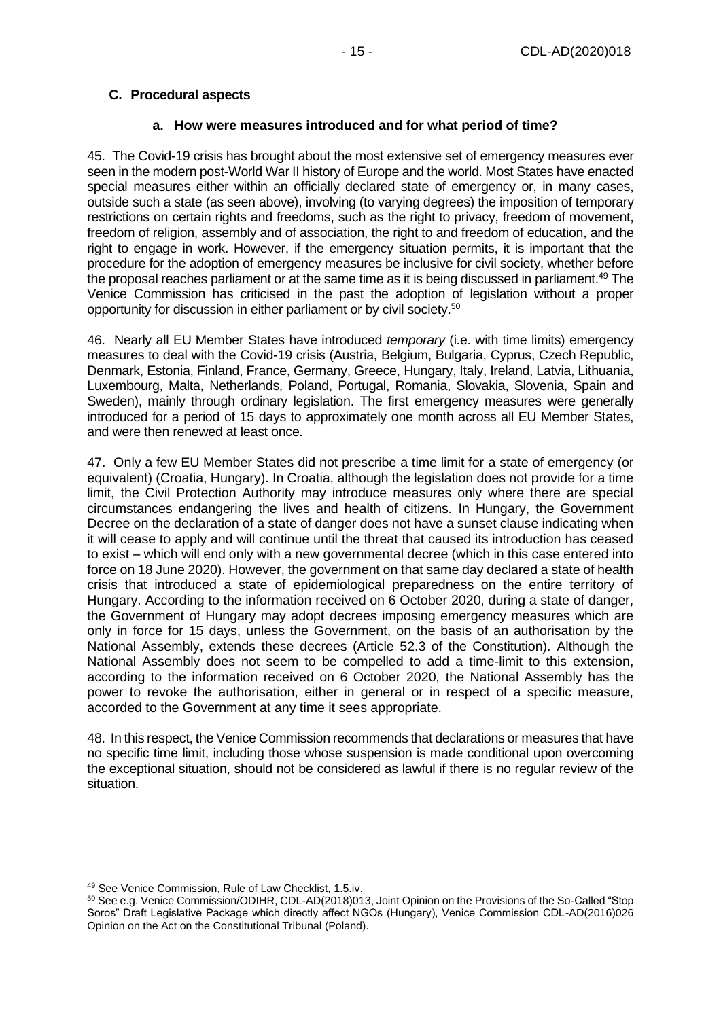### <span id="page-14-0"></span>**C. Procedural aspects**

#### **a. How were measures introduced and for what period of time?**

<span id="page-14-1"></span>45. The Covid-19 crisis has brought about the most extensive set of emergency measures ever seen in the modern post-World War II history of Europe and the world. Most States have enacted special measures either within an officially declared state of emergency or, in many cases, outside such a state (as seen above), involving (to varying degrees) the imposition of temporary restrictions on certain rights and freedoms, such as the right to privacy, freedom of movement, freedom of religion, assembly and of association, the right to and freedom of education, and the right to engage in work. However, if the emergency situation permits, it is important that the procedure for the adoption of emergency measures be inclusive for civil society, whether before the proposal reaches parliament or at the same time as it is being discussed in parliament.<sup>49</sup> The Venice Commission has criticised in the past the adoption of legislation without a proper opportunity for discussion in either parliament or by civil society.<sup>50</sup>

46. Nearly all EU Member States have introduced *temporary* (i.e. with time limits) emergency measures to deal with the Covid-19 crisis (Austria, Belgium, Bulgaria, Cyprus, Czech Republic, Denmark, Estonia, Finland, France, Germany, Greece, Hungary, Italy, Ireland, Latvia, Lithuania, Luxembourg, Malta, Netherlands, Poland, Portugal, Romania, Slovakia, Slovenia, Spain and Sweden), mainly through ordinary legislation. The first emergency measures were generally introduced for a period of 15 days to approximately one month across all EU Member States, and were then renewed at least once.

47. Only a few EU Member States did not prescribe a time limit for a state of emergency (or equivalent) (Croatia, Hungary). In Croatia, although the legislation does not provide for a time limit, the Civil Protection Authority may introduce measures only where there are special circumstances endangering the lives and health of citizens. In Hungary, the Government Decree on the declaration of a state of danger does not have a sunset clause indicating when it will cease to apply and will continue until the threat that caused its introduction has ceased to exist – which will end only with a new governmental decree (which in this case entered into force on 18 June 2020). However, the government on that same day declared a state of health crisis that introduced a state of epidemiological preparedness on the entire territory of Hungary. According to the information received on 6 October 2020, during a state of danger, the Government of Hungary may adopt decrees imposing emergency measures which are only in force for 15 days, unless the Government, on the basis of an authorisation by the National Assembly, extends these decrees (Article 52.3 of the Constitution). Although the National Assembly does not seem to be compelled to add a time-limit to this extension, according to the information received on 6 October 2020, the National Assembly has the power to revoke the authorisation, either in general or in respect of a specific measure, accorded to the Government at any time it sees appropriate.

48. In this respect, the Venice Commission recommends that declarations or measures that have no specific time limit, including those whose suspension is made conditional upon overcoming the exceptional situation, should not be considered as lawful if there is no regular review of the situation.

<sup>49</sup> See Venice Commission, Rule of Law Checklist, 1.5.iv.

<sup>50</sup> See e.g. Venice Commission/ODIHR, CDL-AD(2018)013, Joint Opinion on the Provisions of the So-Called "Stop Soros" Draft Legislative Package which directly affect NGOs (Hungary), Venice Commission CDL-AD(2016)026 Opinion on the Act on the Constitutional Tribunal (Poland).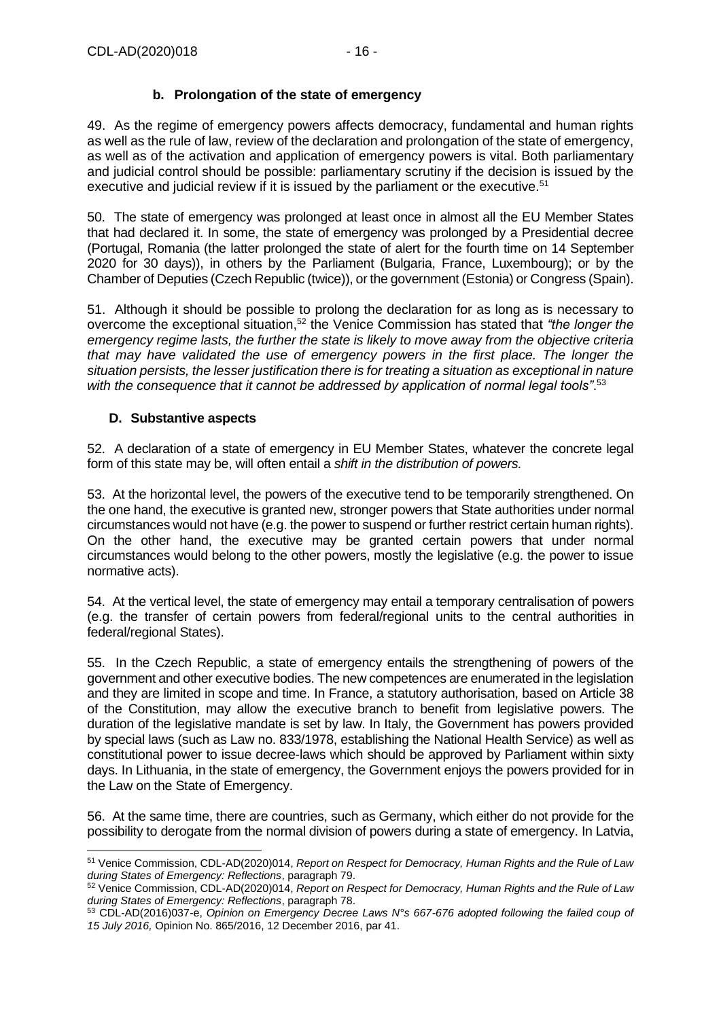### **b. Prolongation of the state of emergency**

<span id="page-15-0"></span>49. As the regime of emergency powers affects democracy, fundamental and human rights as well as the rule of law, review of the declaration and prolongation of the state of emergency, as well as of the activation and application of emergency powers is vital. Both parliamentary and judicial control should be possible: parliamentary scrutiny if the decision is issued by the executive and judicial review if it is issued by the parliament or the executive.<sup>51</sup>

50. The state of emergency was prolonged at least once in almost all the EU Member States that had declared it. In some, the state of emergency was prolonged by a Presidential decree (Portugal, Romania (the latter prolonged the state of alert for the fourth time on 14 September 2020 for 30 days)), in others by the Parliament (Bulgaria, France, Luxembourg); or by the Chamber of Deputies (Czech Republic (twice)), or the government (Estonia) or Congress (Spain).

51. Although it should be possible to prolong the declaration for as long as is necessary to overcome the exceptional situation,<sup>52</sup> the Venice Commission has stated that *"the longer the emergency regime lasts, the further the state is likely to move away from the objective criteria that may have validated the use of emergency powers in the first place. The longer the situation persists, the lesser justification there is for treating a situation as exceptional in nature*  with the consequence that it cannot be addressed by application of normal legal tools".<sup>53</sup>

### <span id="page-15-1"></span>**D. Substantive aspects**

52. A declaration of a state of emergency in EU Member States, whatever the concrete legal form of this state may be, will often entail a *shift in the distribution of powers.*

53. At the horizontal level, the powers of the executive tend to be temporarily strengthened. On the one hand, the executive is granted new, stronger powers that State authorities under normal circumstances would not have (e.g. the power to suspend or further restrict certain human rights). On the other hand, the executive may be granted certain powers that under normal circumstances would belong to the other powers, mostly the legislative (e.g. the power to issue normative acts).

54. At the vertical level, the state of emergency may entail a temporary centralisation of powers (e.g. the transfer of certain powers from federal/regional units to the central authorities in federal/regional States).

55. In the Czech Republic, a state of emergency entails the strengthening of powers of the government and other executive bodies. The new competences are enumerated in the legislation and they are limited in scope and time. In France, a statutory authorisation, based on Article 38 of the Constitution, may allow the executive branch to benefit from legislative powers. The duration of the legislative mandate is set by law. In Italy, the Government has powers provided by special laws (such as Law no. 833/1978, establishing the National Health Service) as well as constitutional power to issue decree-laws which should be approved by Parliament within sixty days. In Lithuania, in the state of emergency, the Government enjoys the powers provided for in the Law on the State of Emergency.

56. At the same time, there are countries, such as Germany, which either do not provide for the possibility to derogate from the normal division of powers during a state of emergency. In Latvia,

<sup>51</sup> Venice Commission, CDL-AD(2020)014, *Report on Respect for Democracy, Human Rights and the Rule of Law during States of Emergency: Reflections*, paragraph 79.

<sup>52</sup> Venice Commission, CDL-AD(2020)014, *Report on Respect for Democracy, Human Rights and the Rule of Law during States of Emergency: Reflections*, paragraph 78.

<sup>53</sup> CDL-AD(2016)037-e, *Opinion on Emergency Decree Laws N°s 667-676 adopted following the failed coup of 15 July 2016,* Opinion No. 865/2016, 12 December 2016, par 41.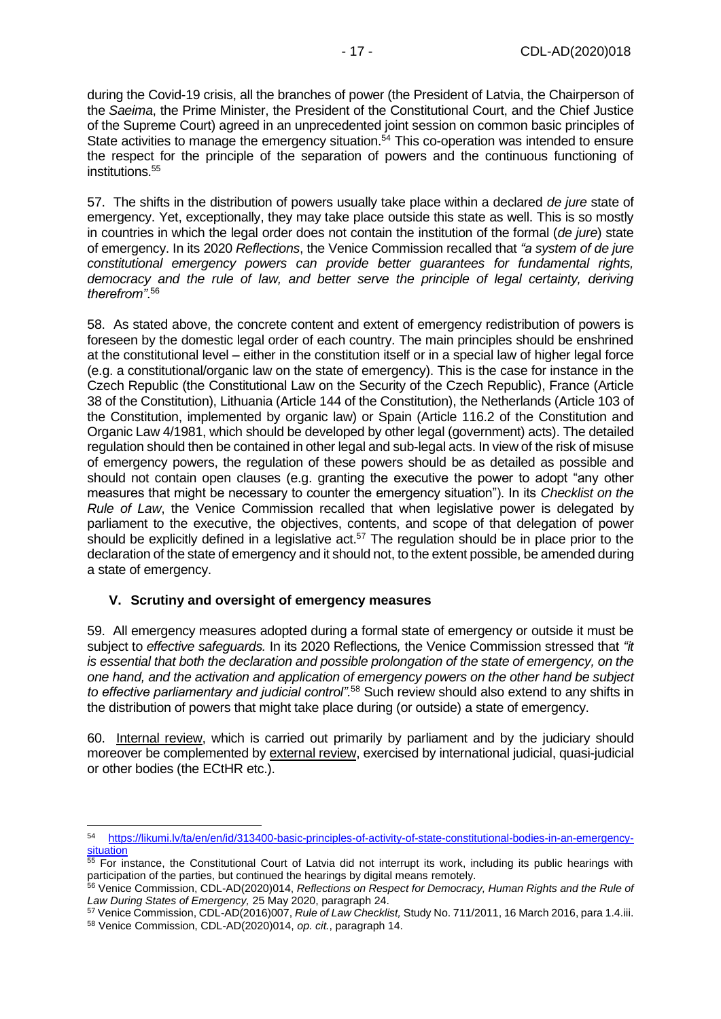during the Covid-19 crisis, all the branches of power (the President of Latvia, the Chairperson of the *Saeima*, the Prime Minister, the President of the Constitutional Court, and the Chief Justice of the Supreme Court) agreed in an unprecedented joint session on common basic principles of State activities to manage the emergency situation.<sup>54</sup> This co-operation was intended to ensure the respect for the principle of the separation of powers and the continuous functioning of institutions.<sup>55</sup>

57. The shifts in the distribution of powers usually take place within a declared *de jure* state of emergency. Yet, exceptionally, they may take place outside this state as well. This is so mostly in countries in which the legal order does not contain the institution of the formal (*de jure*) state of emergency. In its 2020 *Reflections*, the Venice Commission recalled that *"a system of de jure constitutional emergency powers can provide better guarantees for fundamental rights, democracy and the rule of law, and better serve the principle of legal certainty, deriving therefrom"*. 56

58. As stated above, the concrete content and extent of emergency redistribution of powers is foreseen by the domestic legal order of each country. The main principles should be enshrined at the constitutional level – either in the constitution itself or in a special law of higher legal force (e.g. a constitutional/organic law on the state of emergency). This is the case for instance in the Czech Republic (the Constitutional Law on the Security of the Czech Republic), France (Article 38 of the Constitution), Lithuania (Article 144 of the Constitution), the Netherlands (Article 103 of the Constitution, implemented by organic law) or Spain (Article 116.2 of the Constitution and Organic Law 4/1981, which should be developed by other legal (government) acts). The detailed regulation should then be contained in other legal and sub-legal acts. In view of the risk of misuse of emergency powers, the regulation of these powers should be as detailed as possible and should not contain open clauses (e.g. granting the executive the power to adopt "any other measures that might be necessary to counter the emergency situation"). In its *Checklist on the Rule of Law*, the Venice Commission recalled that when legislative power is delegated by parliament to the executive, the objectives, contents, and scope of that delegation of power should be explicitly defined in a legislative act.<sup>57</sup> The regulation should be in place prior to the declaration of the state of emergency and it should not, to the extent possible, be amended during a state of emergency.

### <span id="page-16-0"></span>**V. Scrutiny and oversight of emergency measures**

59. All emergency measures adopted during a formal state of emergency or outside it must be subject to *effective safeguards.* In its 2020 Reflections*,* the Venice Commission stressed that *"it is essential that both the declaration and possible prolongation of the state of emergency, on the one hand, and the activation and application of emergency powers on the other hand be subject to effective parliamentary and judicial control".*<sup>58</sup> Such review should also extend to any shifts in the distribution of powers that might take place during (or outside) a state of emergency.

60. Internal review, which is carried out primarily by parliament and by the judiciary should moreover be complemented by external review, exercised by international judicial, quasi-judicial or other bodies (the ECtHR etc.).

<sup>54</sup> [https://likumi.lv/ta/en/en/id/313400-basic-principles-of-activity-of-state-constitutional-bodies-in-an-emergency](https://likumi.lv/ta/en/en/id/313400-basic-principles-of-activity-of-state-constitutional-bodies-in-an-emergency-situation)**[situation](https://likumi.lv/ta/en/en/id/313400-basic-principles-of-activity-of-state-constitutional-bodies-in-an-emergency-situation)** 

<sup>&</sup>lt;sup>55</sup> For instance, the Constitutional Court of Latvia did not interrupt its work, including its public hearings with participation of the parties, but continued the hearings by digital means remotely.

<sup>56</sup> Venice Commission, CDL-AD(2020)014, *Reflections on Respect for Democracy, Human Rights and the Rule of Law During States of Emergency,* 25 May 2020, paragraph 24.

<sup>57</sup> Venice Commission, CDL-AD(2016)007, *Rule of Law Checklist,* Study No. 711/2011, 16 March 2016, para 1.4.iii. <sup>58</sup> Venice Commission, CDL-AD(2020)014, *op. cit.*, paragraph 14.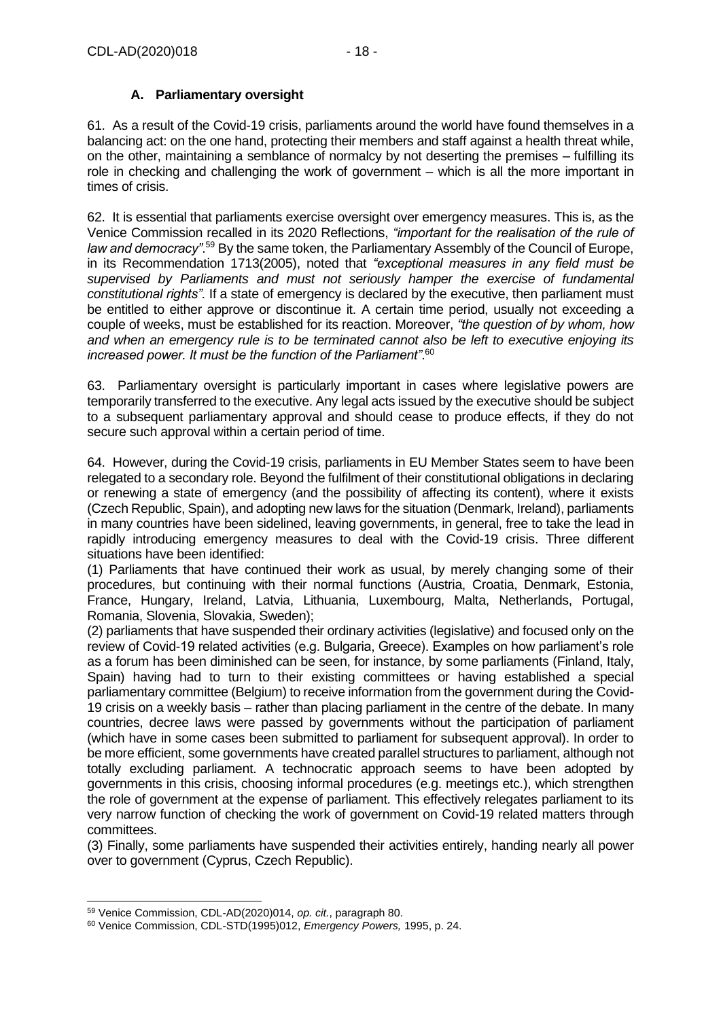### **A. Parliamentary oversight**

<span id="page-17-0"></span>61. As a result of the Covid-19 crisis, parliaments around the world have found themselves in a balancing act: on the one hand, protecting their members and staff against a health threat while, on the other, maintaining a semblance of normalcy by not deserting the premises – fulfilling its role in checking and challenging the work of government – which is all the more important in times of crisis.

62. It is essential that parliaments exercise oversight over emergency measures. This is, as the Venice Commission recalled in its 2020 Reflections, *"important for the realisation of the rule of law and democracy"*. <sup>59</sup> By the same token, the Parliamentary Assembly of the Council of Europe, in its Recommendation 1713(2005), noted that *"exceptional measures in any field must be supervised by Parliaments and must not seriously hamper the exercise of fundamental constitutional rights".* If a state of emergency is declared by the executive, then parliament must be entitled to either approve or discontinue it. A certain time period, usually not exceeding a couple of weeks, must be established for its reaction. Moreover, *"the question of by whom, how and when an emergency rule is to be terminated cannot also be left to executive enjoying its increased power. It must be the function of the Parliament"*. 60

63. Parliamentary oversight is particularly important in cases where legislative powers are temporarily transferred to the executive. Any legal acts issued by the executive should be subject to a subsequent parliamentary approval and should cease to produce effects, if they do not secure such approval within a certain period of time.

64. However, during the Covid-19 crisis, parliaments in EU Member States seem to have been relegated to a secondary role. Beyond the fulfilment of their constitutional obligations in declaring or renewing a state of emergency (and the possibility of affecting its content), where it exists (Czech Republic, Spain), and adopting new laws for the situation (Denmark, Ireland), parliaments in many countries have been sidelined, leaving governments, in general, free to take the lead in rapidly introducing emergency measures to deal with the Covid-19 crisis. Three different situations have been identified:

(1) Parliaments that have continued their work as usual, by merely changing some of their procedures, but continuing with their normal functions (Austria, Croatia, Denmark, Estonia, France, Hungary, Ireland, Latvia, Lithuania, Luxembourg, Malta, Netherlands, Portugal, Romania, Slovenia, Slovakia, Sweden);

(2) parliaments that have suspended their ordinary activities (legislative) and focused only on the review of Covid-19 related activities (e.g. Bulgaria, Greece). Examples on how parliament's role as a forum has been diminished can be seen, for instance, by some parliaments (Finland, Italy, Spain) having had to turn to their existing committees or having established a special parliamentary committee (Belgium) to receive information from the government during the Covid-19 crisis on a weekly basis – rather than placing parliament in the centre of the debate. In many countries, decree laws were passed by governments without the participation of parliament (which have in some cases been submitted to parliament for subsequent approval). In order to be more efficient, some governments have created parallel structures to parliament, although not totally excluding parliament. A technocratic approach seems to have been adopted by governments in this crisis, choosing informal procedures (e.g. meetings etc.), which strengthen the role of government at the expense of parliament. This effectively relegates parliament to its very narrow function of checking the work of government on Covid-19 related matters through committees.

(3) Finally, some parliaments have suspended their activities entirely, handing nearly all power over to government (Cyprus, Czech Republic).

<sup>59</sup> Venice Commission, CDL-AD(2020)014, *op. cit.*, paragraph 80.

<sup>60</sup> Venice Commission, CDL-STD(1995)012, *Emergency Powers,* 1995, p. 24.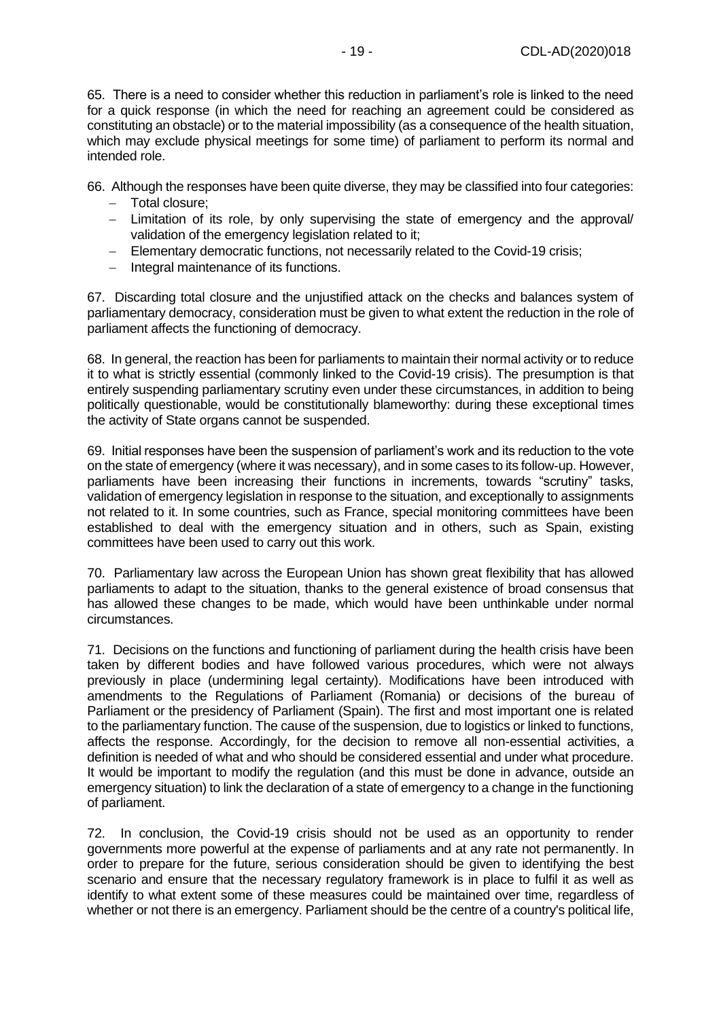65. There is a need to consider whether this reduction in parliament's role is linked to the need for a quick response (in which the need for reaching an agreement could be considered as constituting an obstacle) or to the material impossibility (as a consequence of the health situation, which may exclude physical meetings for some time) of parliament to perform its normal and intended role.

66. Although the responses have been quite diverse, they may be classified into four categories:

- − Total closure;
- − Limitation of its role, by only supervising the state of emergency and the approval/ validation of the emergency legislation related to it;
- − Elementary democratic functions, not necessarily related to the Covid-19 crisis;
- − Integral maintenance of its functions.

67. Discarding total closure and the unjustified attack on the checks and balances system of parliamentary democracy, consideration must be given to what extent the reduction in the role of parliament affects the functioning of democracy.

68. In general, the reaction has been for parliaments to maintain their normal activity or to reduce it to what is strictly essential (commonly linked to the Covid-19 crisis). The presumption is that entirely suspending parliamentary scrutiny even under these circumstances, in addition to being politically questionable, would be constitutionally blameworthy: during these exceptional times the activity of State organs cannot be suspended.

69. Initial responses have been the suspension of parliament's work and its reduction to the vote on the state of emergency (where it was necessary), and in some cases to its follow-up. However, parliaments have been increasing their functions in increments, towards "scrutiny" tasks, validation of emergency legislation in response to the situation, and exceptionally to assignments not related to it. In some countries, such as France, special monitoring committees have been established to deal with the emergency situation and in others, such as Spain, existing committees have been used to carry out this work.

70. Parliamentary law across the European Union has shown great flexibility that has allowed parliaments to adapt to the situation, thanks to the general existence of broad consensus that has allowed these changes to be made, which would have been unthinkable under normal circumstances.

71. Decisions on the functions and functioning of parliament during the health crisis have been taken by different bodies and have followed various procedures, which were not always previously in place (undermining legal certainty). Modifications have been introduced with amendments to the Regulations of Parliament (Romania) or decisions of the bureau of Parliament or the presidency of Parliament (Spain). The first and most important one is related to the parliamentary function. The cause of the suspension, due to logistics or linked to functions, affects the response. Accordingly, for the decision to remove all non-essential activities, a definition is needed of what and who should be considered essential and under what procedure. It would be important to modify the regulation (and this must be done in advance, outside an emergency situation) to link the declaration of a state of emergency to a change in the functioning of parliament.

72. In conclusion, the Covid-19 crisis should not be used as an opportunity to render governments more powerful at the expense of parliaments and at any rate not permanently. In order to prepare for the future, serious consideration should be given to identifying the best scenario and ensure that the necessary regulatory framework is in place to fulfil it as well as identify to what extent some of these measures could be maintained over time, regardless of whether or not there is an emergency. Parliament should be the centre of a country's political life.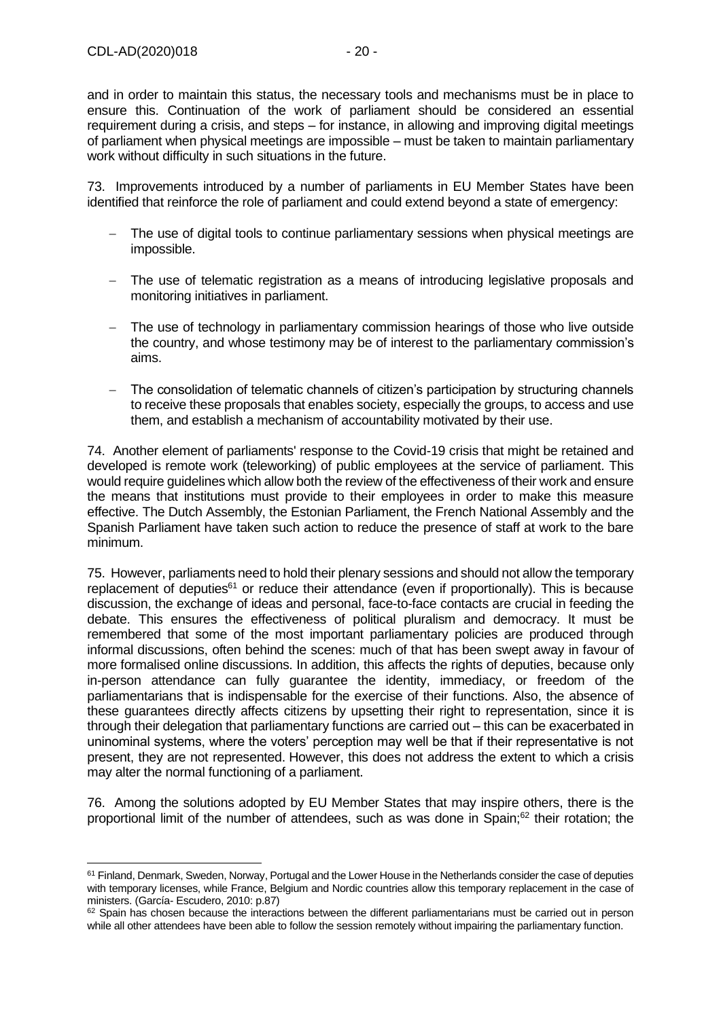and in order to maintain this status, the necessary tools and mechanisms must be in place to ensure this. Continuation of the work of parliament should be considered an essential requirement during a crisis, and steps – for instance, in allowing and improving digital meetings of parliament when physical meetings are impossible – must be taken to maintain parliamentary work without difficulty in such situations in the future.

73. Improvements introduced by a number of parliaments in EU Member States have been identified that reinforce the role of parliament and could extend beyond a state of emergency:

- − The use of digital tools to continue parliamentary sessions when physical meetings are impossible.
- − The use of telematic registration as a means of introducing legislative proposals and monitoring initiatives in parliament.
- − The use of technology in parliamentary commission hearings of those who live outside the country, and whose testimony may be of interest to the parliamentary commission's aims.
- − The consolidation of telematic channels of citizen's participation by structuring channels to receive these proposals that enables society, especially the groups, to access and use them, and establish a mechanism of accountability motivated by their use.

74. Another element of parliaments' response to the Covid-19 crisis that might be retained and developed is remote work (teleworking) of public employees at the service of parliament. This would require guidelines which allow both the review of the effectiveness of their work and ensure the means that institutions must provide to their employees in order to make this measure effective. The Dutch Assembly, the Estonian Parliament, the French National Assembly and the Spanish Parliament have taken such action to reduce the presence of staff at work to the bare minimum.

75. However, parliaments need to hold their plenary sessions and should not allow the temporary replacement of deputies<sup>61</sup> or reduce their attendance (even if proportionally). This is because discussion, the exchange of ideas and personal, face-to-face contacts are crucial in feeding the debate. This ensures the effectiveness of political pluralism and democracy. It must be remembered that some of the most important parliamentary policies are produced through informal discussions, often behind the scenes: much of that has been swept away in favour of more formalised online discussions. In addition, this affects the rights of deputies, because only in-person attendance can fully guarantee the identity, immediacy, or freedom of the parliamentarians that is indispensable for the exercise of their functions. Also, the absence of these guarantees directly affects citizens by upsetting their right to representation, since it is through their delegation that parliamentary functions are carried out – this can be exacerbated in uninominal systems, where the voters' perception may well be that if their representative is not present, they are not represented. However, this does not address the extent to which a crisis may alter the normal functioning of a parliament.

76. Among the solutions adopted by EU Member States that may inspire others, there is the proportional limit of the number of attendees, such as was done in Spain;<sup>62</sup> their rotation; the

<sup>61</sup> Finland, Denmark, Sweden, Norway, Portugal and the Lower House in the Netherlands consider the case of deputies with temporary licenses, while France, Belgium and Nordic countries allow this temporary replacement in the case of ministers. (García- Escudero, 2010: p.87)

 $62$  Spain has chosen because the interactions between the different parliamentarians must be carried out in person while all other attendees have been able to follow the session remotely without impairing the parliamentary function.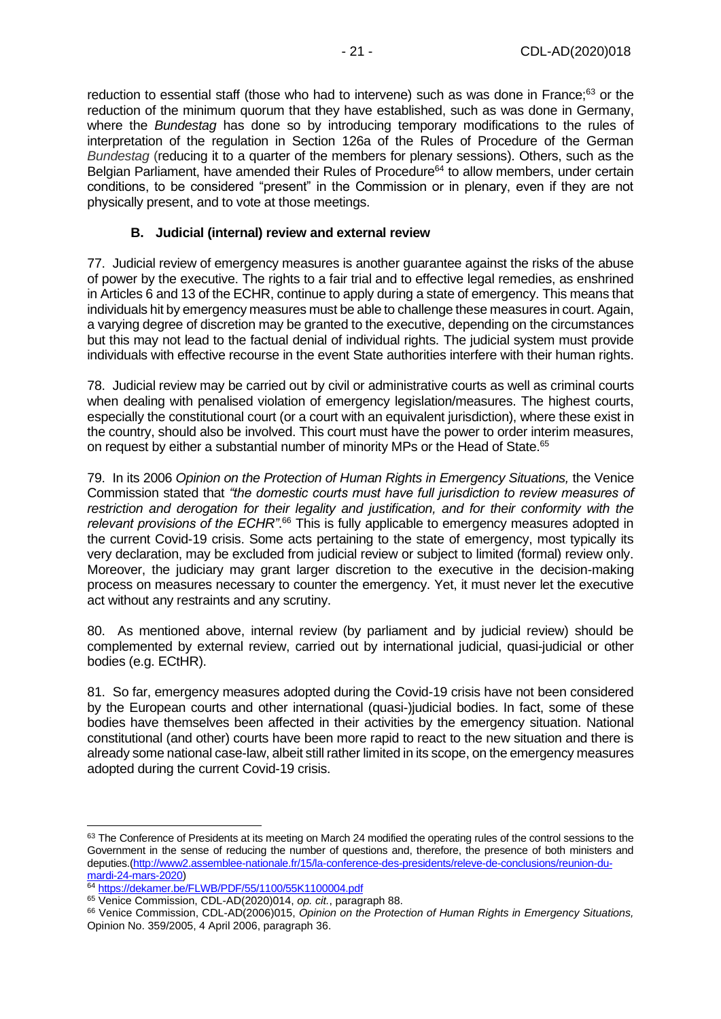reduction to essential staff (those who had to intervene) such as was done in France;<sup>63</sup> or the reduction of the minimum quorum that they have established, such as was done in Germany, where the *Bundestag* has done so by introducing temporary modifications to the rules of interpretation of the regulation in Section 126a of the Rules of Procedure of the German *Bundestag* (reducing it to a quarter of the members for plenary sessions). Others, such as the Belgian Parliament, have amended their Rules of Procedure<sup>64</sup> to allow members, under certain conditions, to be considered "present" in the Commission or in plenary, even if they are not physically present, and to vote at those meetings.

### **B. Judicial (internal) review and external review**

<span id="page-20-0"></span>77. Judicial review of emergency measures is another guarantee against the risks of the abuse of power by the executive. The rights to a fair trial and to effective legal remedies, as enshrined in Articles 6 and 13 of the ECHR, continue to apply during a state of emergency. This means that individuals hit by emergency measures must be able to challenge these measures in court. Again, a varying degree of discretion may be granted to the executive, depending on the circumstances but this may not lead to the factual denial of individual rights. The judicial system must provide individuals with effective recourse in the event State authorities interfere with their human rights.

78. Judicial review may be carried out by civil or administrative courts as well as criminal courts when dealing with penalised violation of emergency legislation/measures. The highest courts, especially the constitutional court (or a court with an equivalent jurisdiction), where these exist in the country, should also be involved. This court must have the power to order interim measures, on request by either a substantial number of minority MPs or the Head of State.<sup>65</sup>

79. In its 2006 *Opinion on the Protection of Human Rights in Emergency Situations,* the Venice Commission stated that *"the domestic courts must have full jurisdiction to review measures of restriction and derogation for their legality and justification, and for their conformity with the*  relevant provisions of the ECHR<sup>", 66</sup> This is fully applicable to emergency measures adopted in the current Covid-19 crisis. Some acts pertaining to the state of emergency, most typically its very declaration, may be excluded from judicial review or subject to limited (formal) review only. Moreover, the judiciary may grant larger discretion to the executive in the decision-making process on measures necessary to counter the emergency. Yet, it must never let the executive act without any restraints and any scrutiny.

80. As mentioned above, internal review (by parliament and by judicial review) should be complemented by external review, carried out by international judicial, quasi-judicial or other bodies (e.g. ECtHR).

81. So far, emergency measures adopted during the Covid-19 crisis have not been considered by the European courts and other international (quasi-)judicial bodies. In fact, some of these bodies have themselves been affected in their activities by the emergency situation. National constitutional (and other) courts have been more rapid to react to the new situation and there is already some national case-law, albeit still rather limited in its scope, on the emergency measures adopted during the current Covid-19 crisis.

<sup>63</sup> The Conference of Presidents at its meeting on March 24 modified the operating rules of the control sessions to the Government in the sense of reducing the number of questions and, therefore, the presence of both ministers and deputies.[\(http://www2.assemblee-nationale.fr/15/la-conference-des-presidents/releve-de-conclusions/reunion-du](http://www2.assemblee-nationale.fr/15/la-conference-des-presidents/releve-de-conclusions/reunion-du-mardi-24-mars-2020)[mardi-24-mars-2020\)](http://www2.assemblee-nationale.fr/15/la-conference-des-presidents/releve-de-conclusions/reunion-du-mardi-24-mars-2020)

<sup>&</sup>lt;sup>64</sup> <https://dekamer.be/FLWB/PDF/55/1100/55K1100004.pdf>

<sup>65</sup> Venice Commission, CDL-AD(2020)014, *op. cit.*, paragraph 88.

<sup>66</sup> Venice Commission, CDL-AD(2006)015, *Opinion on the Protection of Human Rights in Emergency Situations,* Opinion No. 359/2005, 4 April 2006, paragraph 36.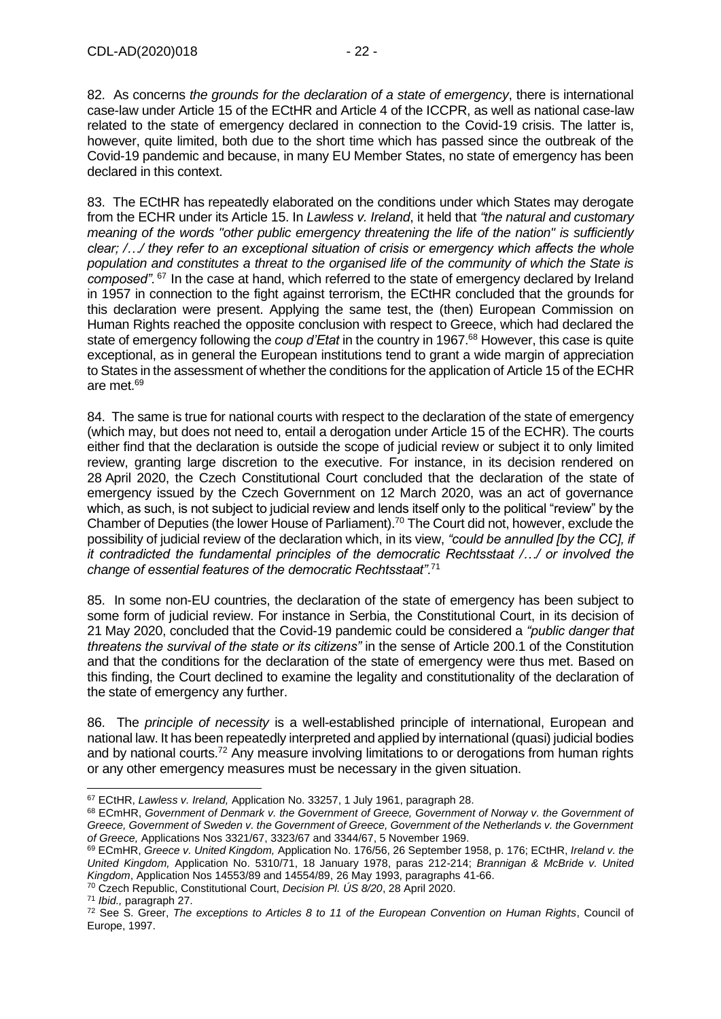82. As concerns *the grounds for the declaration of a state of emergency*, there is international case-law under Article 15 of the ECtHR and Article 4 of the ICCPR, as well as national case-law related to the state of emergency declared in connection to the Covid-19 crisis. The latter is, however, quite limited, both due to the short time which has passed since the outbreak of the Covid-19 pandemic and because, in many EU Member States, no state of emergency has been declared in this context.

83. The ECtHR has repeatedly elaborated on the conditions under which States may derogate from the ECHR under its Article 15. In *Lawless v. Ireland*, it held that *"the natural and customary meaning of the words "other public emergency threatening the life of the nation" is sufficiently clear; /…/ they refer to an exceptional situation of crisis or emergency which affects the whole population and constitutes a threat to the organised life of the community of which the State is composed".* <sup>67</sup> In the case at hand, which referred to the state of emergency declared by Ireland in 1957 in connection to the fight against terrorism, the ECtHR concluded that the grounds for this declaration were present. Applying the same test, the (then) European Commission on Human Rights reached the opposite conclusion with respect to Greece, which had declared the state of emergency following the *coup d'Etat* in the country in 1967.<sup>68</sup> However, this case is quite exceptional, as in general the European institutions tend to grant a wide margin of appreciation to States in the assessment of whether the conditions for the application of Article 15 of the ECHR are met.<sup>69</sup>

84. The same is true for national courts with respect to the declaration of the state of emergency (which may, but does not need to, entail a derogation under Article 15 of the ECHR). The courts either find that the declaration is outside the scope of judicial review or subject it to only limited review, granting large discretion to the executive. For instance, in its decision rendered on 28 April 2020, the Czech Constitutional Court concluded that the declaration of the state of emergency issued by the Czech Government on 12 March 2020, was an act of governance which, as such, is not subject to judicial review and lends itself only to the political "review" by the Chamber of Deputies (the lower House of Parliament). <sup>70</sup> The Court did not, however, exclude the possibility of judicial review of the declaration which, in its view, *"could be annulled [by the CC], if it contradicted the fundamental principles of the democratic Rechtsstaat /…/ or involved the change of essential features of the democratic Rechtsstaat".*<sup>71</sup>

85. In some non-EU countries, the declaration of the state of emergency has been subject to some form of judicial review. For instance in Serbia, the Constitutional Court, in its decision of 21 May 2020, concluded that the Covid-19 pandemic could be considered a *"public danger that threatens the survival of the state or its citizens"* in the sense of Article 200.1 of the Constitution and that the conditions for the declaration of the state of emergency were thus met. Based on this finding, the Court declined to examine the legality and constitutionality of the declaration of the state of emergency any further.

86. The *principle of necessity* is a well-established principle of international, European and national law. It has been repeatedly interpreted and applied by international (quasi) judicial bodies and by national courts.<sup>72</sup> Any measure involving limitations to or derogations from human rights or any other emergency measures must be necessary in the given situation.

<sup>67</sup> ECtHR, *Lawless v. Ireland,* Application No. 33257, 1 July 1961, paragraph 28.

<sup>68</sup> ECmHR, *Government of Denmark v. the Government of Greece, Government of Norway v. the Government of Greece, Government of Sweden v. the Government of Greece, Government of the Netherlands v. the Government of Greece,* Applications Nos 3321/67, 3323/67 and 3344/67, 5 November 1969.

<sup>69</sup> ECmHR, *Greece v. United Kingdom,* Application No. 176/56, 26 September 1958, p. 176; ECtHR, *Ireland v. the United Kingdom,* Application No. 5310/71, 18 January 1978, paras 212-214; *Brannigan & McBride v. United Kingdom*, Application Nos 14553/89 and 14554/89, 26 May 1993, paragraphs 41-66.

<sup>70</sup> Czech Republic, Constitutional Court, *Decision Pl. ÚS 8/20*, 28 April 2020.

<sup>71</sup> *Ibid.,* paragraph 27.

<sup>72</sup> See S. Greer, *The exceptions to Articles 8 to 11 of the European Convention on Human Rights*, Council of Europe, 1997.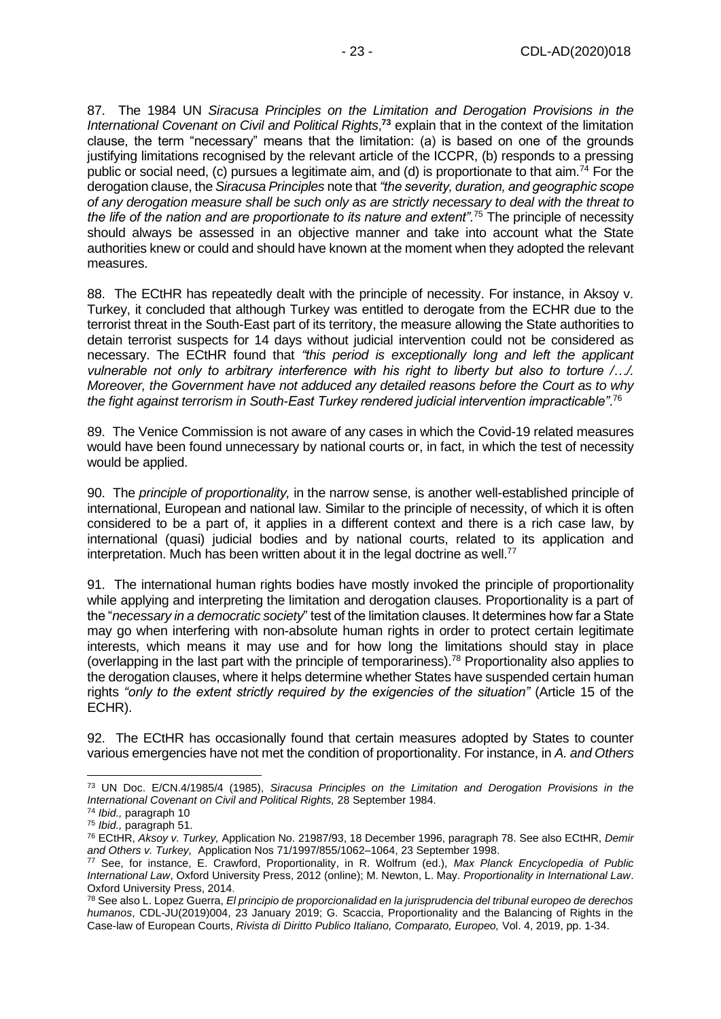87. The 1984 UN *Siracusa Principles on the Limitation and Derogation Provisions in the*  International Covenant on Civil and Political Rights,<sup>73</sup> explain that in the context of the limitation clause, the term "necessary" means that the limitation: (a) is based on one of the grounds justifying limitations recognised by the relevant article of the ICCPR, (b) responds to a pressing public or social need, (c) pursues a legitimate aim, and (d) is proportionate to that aim.<sup>74</sup> For the derogation clause, the *Siracusa Principles* note that *"the severity, duration, and geographic scope of any derogation measure shall be such only as are strictly necessary to deal with the threat to the life of the nation and are proportionate to its nature and extent".*<sup>75</sup> The principle of necessity should always be assessed in an objective manner and take into account what the State authorities knew or could and should have known at the moment when they adopted the relevant measures.

88. The ECtHR has repeatedly dealt with the principle of necessity. For instance, in Aksoy v. Turkey, it concluded that although Turkey was entitled to derogate from the ECHR due to the terrorist threat in the South-East part of its territory, the measure allowing the State authorities to detain terrorist suspects for 14 days without judicial intervention could not be considered as necessary. The ECtHR found that *"this period is exceptionally long and left the applicant vulnerable not only to arbitrary interference with his right to liberty but also to torture /…/. Moreover, the Government have not adduced any detailed reasons before the Court as to why the fight against terrorism in South-East Turkey rendered judicial intervention impracticable"*. 76

89. The Venice Commission is not aware of any cases in which the Covid-19 related measures would have been found unnecessary by national courts or, in fact, in which the test of necessity would be applied.

90. The *principle of proportionality,* in the narrow sense, is another well-established principle of international, European and national law. Similar to the principle of necessity, of which it is often considered to be a part of, it applies in a different context and there is a rich case law, by international (quasi) judicial bodies and by national courts, related to its application and interpretation. Much has been written about it in the legal doctrine as well.<sup>77</sup>

91. The international human rights bodies have mostly invoked the principle of proportionality while applying and interpreting the limitation and derogation clauses. Proportionality is a part of the "*necessary in a democratic society*" test of the limitation clauses. It determines how far a State may go when interfering with non-absolute human rights in order to protect certain legitimate interests, which means it may use and for how long the limitations should stay in place (overlapping in the last part with the principle of temporariness).<sup>78</sup> Proportionality also applies to the derogation clauses, where it helps determine whether States have suspended certain human rights *"only to the extent strictly required by the exigencies of the situation"* (Article 15 of the ECHR).

92. The ECtHR has occasionally found that certain measures adopted by States to counter various emergencies have not met the condition of proportionality. For instance, in *A. and Others* 

<sup>73</sup> UN Doc. E/CN.4/1985/4 (1985), *Siracusa Principles on the Limitation and Derogation Provisions in the International Covenant on Civil and Political Rights,* 28 September 1984.

<sup>74</sup> *Ibid.,* paragraph 10

<sup>75</sup> *Ibid.,* paragraph 51.

<sup>76</sup> ECtHR, *Aksoy v. Turkey,* Application No. 21987/93, 18 December 1996, paragraph 78. See also ECtHR, *Demir and Others v. Turkey,* Application Nos 71/1997/855/1062–1064, 23 September 1998.

<sup>77</sup> See, for instance, E. Crawford, Proportionality, in R. Wolfrum (ed.), *Max Planck Encyclopedia of Public International Law*, Oxford University Press, 2012 (online); M. Newton, L. May. *Proportionality in International Law*. Oxford University Press, 2014.

<sup>78</sup> See also L. Lopez Guerra, *El principio de proporcionalidad en la jurisprudencia del tribunal europeo de derechos humanos*, CDL-JU(2019)004, 23 January 2019; G. Scaccia, Proportionality and the Balancing of Rights in the Case-law of European Courts, *Rivista di Diritto Publico Italiano, Comparato, Europeo,* Vol. 4, 2019, pp. 1-34.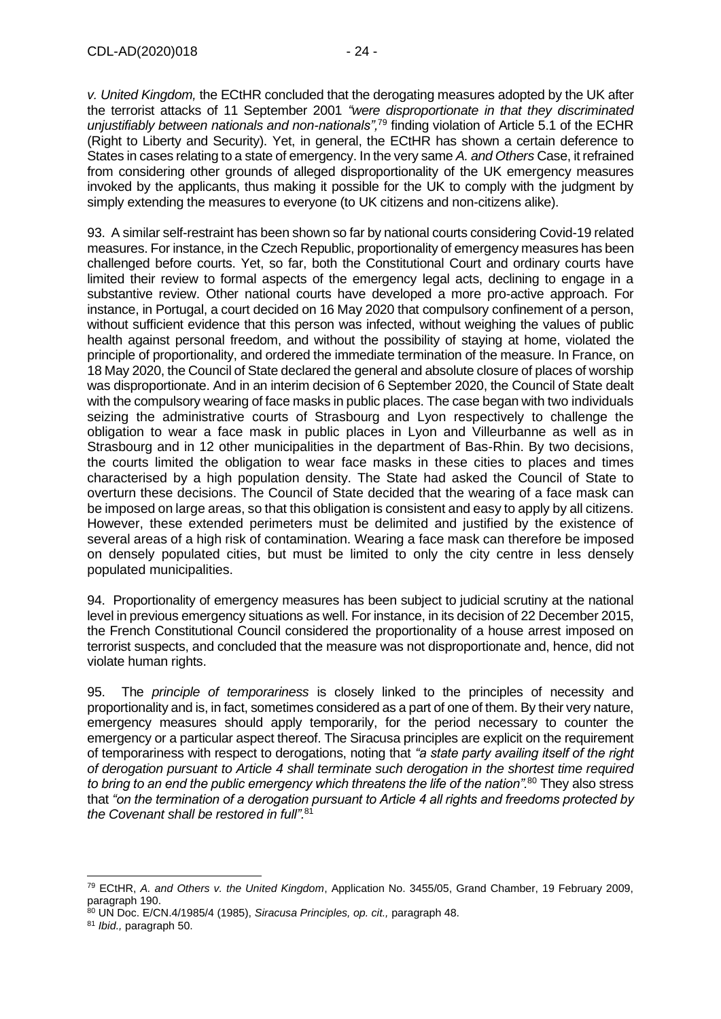*v. United Kingdom,* the ECtHR concluded that the derogating measures adopted by the UK after the terrorist attacks of 11 September 2001 *"were disproportionate in that they discriminated unjustifiably between nationals and non-nationals",*<sup>79</sup> finding violation of Article 5.1 of the ECHR (Right to Liberty and Security). Yet, in general, the ECtHR has shown a certain deference to States in cases relating to a state of emergency. In the very same *A. and Others* Case, it refrained from considering other grounds of alleged disproportionality of the UK emergency measures invoked by the applicants, thus making it possible for the UK to comply with the judgment by simply extending the measures to everyone (to UK citizens and non-citizens alike).

93. A similar self-restraint has been shown so far by national courts considering Covid-19 related measures. For instance, in the Czech Republic, proportionality of emergency measures has been challenged before courts. Yet, so far, both the Constitutional Court and ordinary courts have limited their review to formal aspects of the emergency legal acts, declining to engage in a substantive review. Other national courts have developed a more pro-active approach. For instance, in Portugal, a court decided on 16 May 2020 that compulsory confinement of a person, without sufficient evidence that this person was infected, without weighing the values of public health against personal freedom, and without the possibility of staying at home, violated the principle of proportionality, and ordered the immediate termination of the measure. In France, on 18 May 2020, the Council of State declared the general and absolute closure of places of worship was disproportionate. And in an interim decision of 6 September 2020, the Council of State dealt with the compulsory wearing of face masks in public places. The case began with two individuals seizing the administrative courts of Strasbourg and Lyon respectively to challenge the obligation to wear a face mask in public places in Lyon and Villeurbanne as well as in Strasbourg and in 12 other municipalities in the department of Bas-Rhin. By two decisions, the courts limited the obligation to wear face masks in these cities to places and times characterised by a high population density. The State had asked the Council of State to overturn these decisions. The Council of State decided that the wearing of a face mask can be imposed on large areas, so that this obligation is consistent and easy to apply by all citizens. However, these extended perimeters must be delimited and justified by the existence of several areas of a high risk of contamination. Wearing a face mask can therefore be imposed on densely populated cities, but must be limited to only the city centre in less densely populated municipalities.

94. Proportionality of emergency measures has been subject to judicial scrutiny at the national level in previous emergency situations as well. For instance, in its decision of 22 December 2015, the French Constitutional Council considered the proportionality of a house arrest imposed on terrorist suspects, and concluded that the measure was not disproportionate and, hence, did not violate human rights.

95. The *principle of temporariness* is closely linked to the principles of necessity and proportionality and is, in fact, sometimes considered as a part of one of them. By their very nature, emergency measures should apply temporarily, for the period necessary to counter the emergency or a particular aspect thereof. The Siracusa principles are explicit on the requirement of temporariness with respect to derogations, noting that *"a state party availing itself of the right of derogation pursuant to Article 4 shall terminate such derogation in the shortest time required to bring to an end the public emergency which threatens the life of the nation".*<sup>80</sup> They also stress that *"on the termination of a derogation pursuant to Article 4 all rights and freedoms protected by the Covenant shall be restored in full".*<sup>81</sup>

<sup>79</sup> ECtHR, *A. and Others v. the United Kingdom*, Application No. 3455/05, Grand Chamber, 19 February 2009, paragraph 190.

<sup>80</sup> UN Doc. E/CN.4/1985/4 (1985), *Siracusa Principles, op. cit.,* paragraph 48.

<sup>81</sup> *Ibid.,* paragraph 50.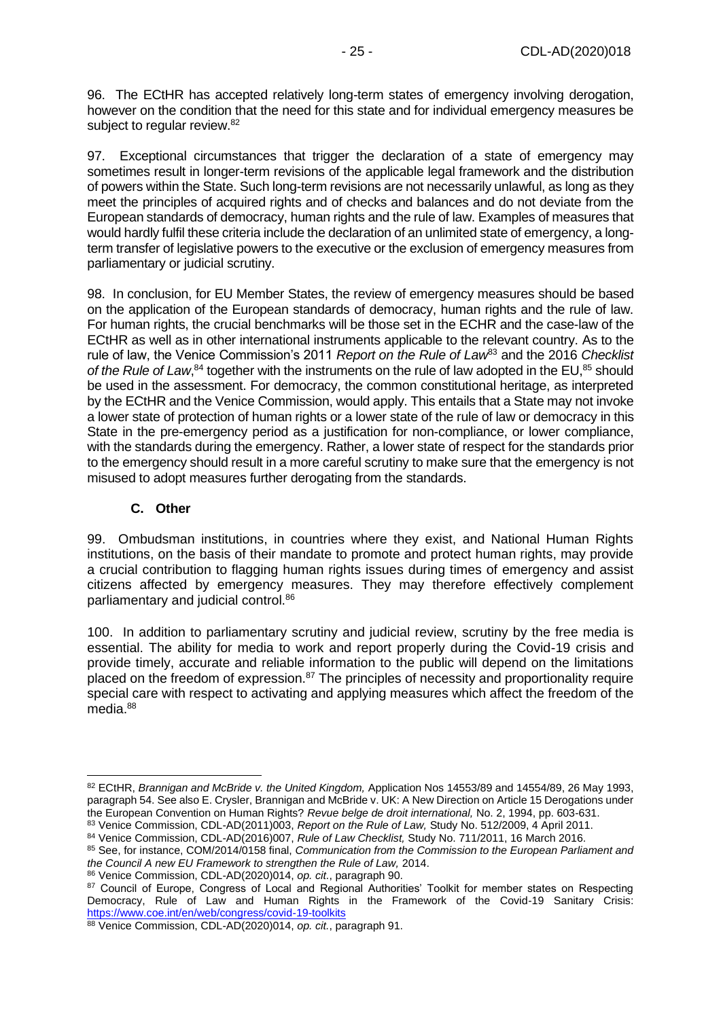96. The ECtHR has accepted relatively long-term states of emergency involving derogation, however on the condition that the need for this state and for individual emergency measures be subject to regular review.<sup>82</sup>

97. Exceptional circumstances that trigger the declaration of a state of emergency may sometimes result in longer-term revisions of the applicable legal framework and the distribution of powers within the State. Such long-term revisions are not necessarily unlawful, as long as they meet the principles of acquired rights and of checks and balances and do not deviate from the European standards of democracy, human rights and the rule of law. Examples of measures that would hardly fulfil these criteria include the declaration of an unlimited state of emergency, a longterm transfer of legislative powers to the executive or the exclusion of emergency measures from parliamentary or judicial scrutiny.

98. In conclusion, for EU Member States, the review of emergency measures should be based on the application of the European standards of democracy, human rights and the rule of law. For human rights, the crucial benchmarks will be those set in the ECHR and the case-law of the ECtHR as well as in other international instruments applicable to the relevant country. As to the rule of law, the Venice Commission's 2011 *Report on the Rule of Law*<sup>83</sup> and the 2016 *Checklist*  of the Rule of Law,<sup>84</sup> together with the instruments on the rule of law adopted in the EU,<sup>85</sup> should be used in the assessment. For democracy, the common constitutional heritage, as interpreted by the ECtHR and the Venice Commission, would apply. This entails that a State may not invoke a lower state of protection of human rights or a lower state of the rule of law or democracy in this State in the pre-emergency period as a justification for non-compliance, or lower compliance, with the standards during the emergency. Rather, a lower state of respect for the standards prior to the emergency should result in a more careful scrutiny to make sure that the emergency is not misused to adopt measures further derogating from the standards.

### **C. Other**

<span id="page-24-0"></span>99. Ombudsman institutions, in countries where they exist, and National Human Rights institutions, on the basis of their mandate to promote and protect human rights, may provide a crucial contribution to flagging human rights issues during times of emergency and assist citizens affected by emergency measures. They may therefore effectively complement parliamentary and judicial control.<sup>86</sup>

100. In addition to parliamentary scrutiny and judicial review, scrutiny by the free media is essential. The ability for media to work and report properly during the Covid-19 crisis and provide timely, accurate and reliable information to the public will depend on the limitations placed on the freedom of expression.<sup>87</sup> The principles of necessity and proportionality require special care with respect to activating and applying measures which affect the freedom of the media.<sup>88</sup>

<sup>82</sup> ECtHR, *Brannigan and McBride v. the United Kingdom*, Application Nos 14553/89 and 14554/89, 26 May 1993, paragraph 54. See also E. Crysler, Brannigan and McBride v. UK: A New Direction on Article 15 Derogations under the European Convention on Human Rights? *Revue belge de droit international,* No. 2, 1994, pp. 603-631.

<sup>83</sup> Venice Commission, CDL-AD(2011)003, *Report on the Rule of Law,* Study No. 512/2009, 4 April 2011. <sup>84</sup> Venice Commission, CDL-AD(2016)007, *Rule of Law Checklist,* Study No. 711/2011, 16 March 2016.

<sup>85</sup> See, for instance, COM/2014/0158 final, *Communication from the Commission to the European Parliament and the Council A new EU Framework to strengthen the Rule of Law,* 2014.

<sup>86</sup> Venice Commission, CDL-AD(2020)014, *op. cit.*, paragraph 90.

<sup>87</sup> Council of Europe, Congress of Local and Regional Authorities' Toolkit for member states on Respecting Democracy, Rule of Law and Human Rights in the Framework of the Covid-19 Sanitary Crisis: <https://www.coe.int/en/web/congress/covid-19-toolkits>

<sup>88</sup> Venice Commission, CDL-AD(2020)014, *op. cit.*, paragraph 91.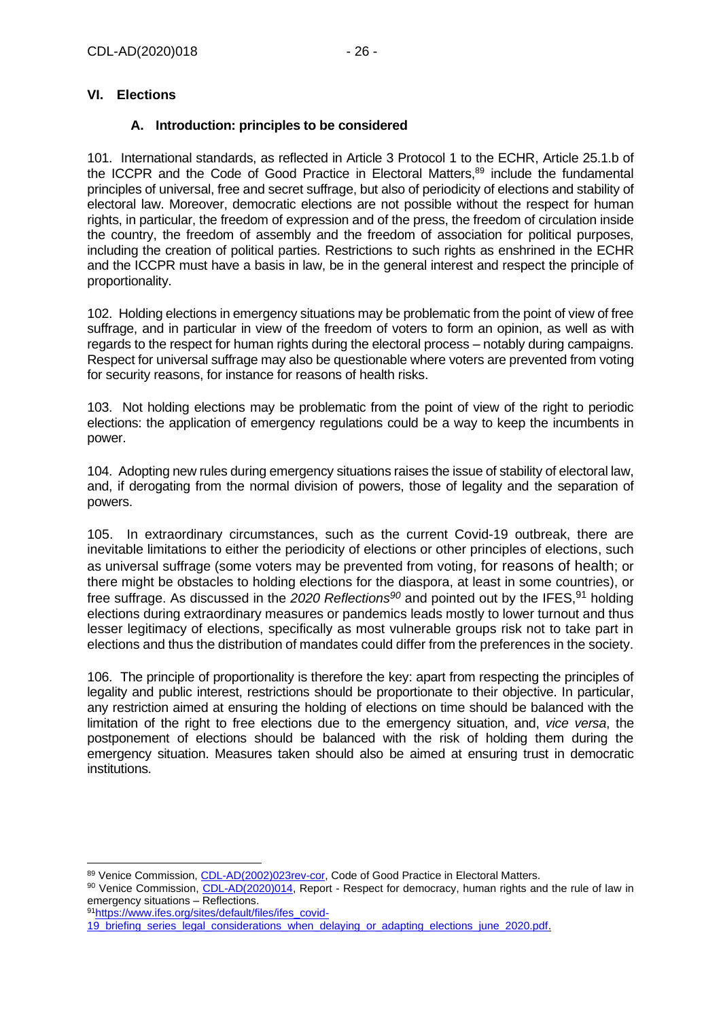### <span id="page-25-1"></span><span id="page-25-0"></span>**VI. Elections**

### **A. Introduction: principles to be considered**

101. International standards, as reflected in Article 3 Protocol 1 to the ECHR, Article 25.1.b of the ICCPR and the Code of Good Practice in Electoral Matters,<sup>89</sup> include the fundamental principles of universal, free and secret suffrage, but also of periodicity of elections and stability of electoral law. Moreover, democratic elections are not possible without the respect for human rights, in particular, the freedom of expression and of the press, the freedom of circulation inside the country, the freedom of assembly and the freedom of association for political purposes, including the creation of political parties. Restrictions to such rights as enshrined in the ECHR and the ICCPR must have a basis in law, be in the general interest and respect the principle of proportionality.

102. Holding elections in emergency situations may be problematic from the point of view of free suffrage, and in particular in view of the freedom of voters to form an opinion, as well as with regards to the respect for human rights during the electoral process – notably during campaigns. Respect for universal suffrage may also be questionable where voters are prevented from voting for security reasons, for instance for reasons of health risks.

103. Not holding elections may be problematic from the point of view of the right to periodic elections: the application of emergency regulations could be a way to keep the incumbents in power.

104. Adopting new rules during emergency situations raises the issue of stability of electoral law, and, if derogating from the normal division of powers, those of legality and the separation of powers.

105. In extraordinary circumstances, such as the current Covid-19 outbreak, there are inevitable limitations to either the periodicity of elections or other principles of elections, such as universal suffrage (some voters may be prevented from voting, for reasons of health; or there might be obstacles to holding elections for the diaspora, at least in some countries), or free suffrage. As discussed in the *2020 Reflections<sup>90</sup>* and pointed out by the IFES,<sup>91</sup> holding elections during extraordinary measures or pandemics leads mostly to lower turnout and thus lesser legitimacy of elections, specifically as most vulnerable groups risk not to take part in elections and thus the distribution of mandates could differ from the preferences in the society.

106. The principle of proportionality is therefore the key: apart from respecting the principles of legality and public interest, restrictions should be proportionate to their objective. In particular, any restriction aimed at ensuring the holding of elections on time should be balanced with the limitation of the right to free elections due to the emergency situation, and, *vice versa*, the postponement of elections should be balanced with the risk of holding them during the emergency situation. Measures taken should also be aimed at ensuring trust in democratic institutions.

91[https://www.ifes.org/sites/default/files/ifes\\_covid-](https://www.ifes.org/sites/default/files/ifes_covid-19_briefing_series_legal_considerations_when_delaying_or_adapting_elections_june_2020.pdf)

<sup>89</sup> Venice Commission[, CDL-AD\(2002\)023rev-cor,](https://www.venice.coe.int/webforms/documents/?pdf=CDL-AD(2002)023rev2-cor-e) Code of Good Practice in Electoral Matters.

<sup>90</sup> Venice Commission, [CDL-AD\(2020\)014,](https://www.venice.coe.int/webforms/documents/?pdf=CDL-AD(2020)014-e) Report - Respect for democracy, human rights and the rule of law in emergency situations – Reflections.

[<sup>19</sup>\\_briefing\\_series\\_legal\\_considerations\\_when\\_delaying\\_or\\_adapting\\_elections\\_june\\_2020.pdf.](https://www.ifes.org/sites/default/files/ifes_covid-19_briefing_series_legal_considerations_when_delaying_or_adapting_elections_june_2020.pdf)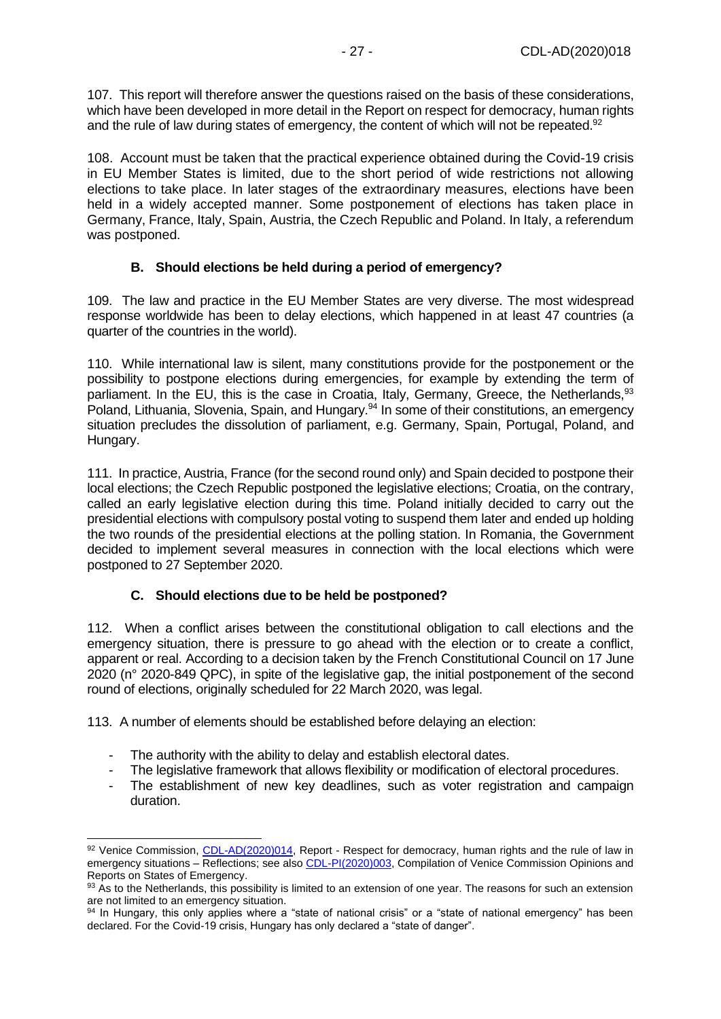107. This report will therefore answer the questions raised on the basis of these considerations, which have been developed in more detail in the Report on respect for democracy, human rights and the rule of law during states of emergency, the content of which will not be repeated.<sup>92</sup>

108. Account must be taken that the practical experience obtained during the Covid-19 crisis in EU Member States is limited, due to the short period of wide restrictions not allowing elections to take place. In later stages of the extraordinary measures, elections have been held in a widely accepted manner. Some postponement of elections has taken place in Germany, France, Italy, Spain, Austria, the Czech Republic and Poland. In Italy, a referendum was postponed.

### **B. Should elections be held during a period of emergency?**

<span id="page-26-0"></span>109. The law and practice in the EU Member States are very diverse. The most widespread response worldwide has been to delay elections, which happened in at least 47 countries (a quarter of the countries in the world).

110. While international law is silent, many constitutions provide for the postponement or the possibility to postpone elections during emergencies, for example by extending the term of parliament. In the EU, this is the case in Croatia, Italy, Germany, Greece, the Netherlands, 93 Poland, Lithuania, Slovenia, Spain, and Hungary.<sup>94</sup> In some of their constitutions, an emergency situation precludes the dissolution of parliament, e.g. Germany, Spain, Portugal, Poland, and Hungary.

111. In practice, Austria, France (for the second round only) and Spain decided to postpone their local elections; the Czech Republic postponed the legislative elections; Croatia, on the contrary, called an early legislative election during this time. Poland initially decided to carry out the presidential elections with compulsory postal voting to suspend them later and ended up holding the two rounds of the presidential elections at the polling station. In Romania, the Government decided to implement several measures in connection with the local elections which were postponed to 27 September 2020.

### **C. Should elections due to be held be postponed?**

<span id="page-26-1"></span>112. When a conflict arises between the constitutional obligation to call elections and the emergency situation, there is pressure to go ahead with the election or to create a conflict, apparent or real. According to a decision taken by the French Constitutional Council on 17 June 2020 (n° 2020-849 QPC), in spite of the legislative gap, the initial postponement of the second round of elections, originally scheduled for 22 March 2020, was legal.

113. A number of elements should be established before delaying an election:

- The authority with the ability to delay and establish electoral dates.
- The legislative framework that allows flexibility or modification of electoral procedures.
- The establishment of new key deadlines, such as voter registration and campaign duration.

<sup>92</sup> Venice Commission, [CDL-AD\(2020\)014,](https://www.venice.coe.int/webforms/documents/?pdf=CDL-AD(2020)014-e) Report - Respect for democracy, human rights and the rule of law in emergency situations – Reflections; see als[o CDL-PI\(2020\)003,](https://www.venice.coe.int/webforms/documents/?pdf=CDL-PI(2020)003-e) Compilation of Venice Commission Opinions and Reports on States of Emergency.

<sup>93</sup> As to the Netherlands, this possibility is limited to an extension of one year. The reasons for such an extension are not limited to an emergency situation.

<sup>94</sup> In Hungary, this only applies where a "state of national crisis" or a "state of national emergency" has been declared. For the Covid-19 crisis, Hungary has only declared a "state of danger".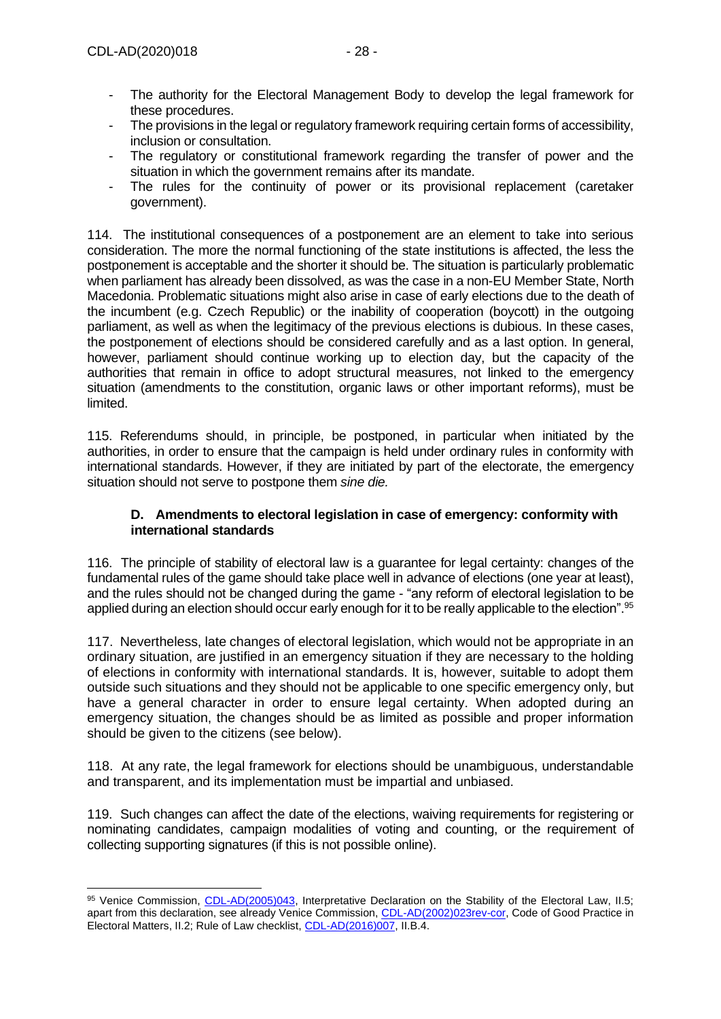- The authority for the Electoral Management Body to develop the legal framework for these procedures.
- The provisions in the legal or regulatory framework requiring certain forms of accessibility, inclusion or consultation.
- The regulatory or constitutional framework regarding the transfer of power and the situation in which the government remains after its mandate.
- The rules for the continuity of power or its provisional replacement (caretaker government).

114. The institutional consequences of a postponement are an element to take into serious consideration. The more the normal functioning of the state institutions is affected, the less the postponement is acceptable and the shorter it should be. The situation is particularly problematic when parliament has already been dissolved, as was the case in a non-EU Member State, North Macedonia. Problematic situations might also arise in case of early elections due to the death of the incumbent (e.g. Czech Republic) or the inability of cooperation (boycott) in the outgoing parliament, as well as when the legitimacy of the previous elections is dubious. In these cases, the postponement of elections should be considered carefully and as a last option. In general, however, parliament should continue working up to election day, but the capacity of the authorities that remain in office to adopt structural measures, not linked to the emergency situation (amendments to the constitution, organic laws or other important reforms), must be limited.

115. Referendums should, in principle, be postponed, in particular when initiated by the authorities, in order to ensure that the campaign is held under ordinary rules in conformity with international standards. However, if they are initiated by part of the electorate, the emergency situation should not serve to postpone them *sine die.*

### <span id="page-27-0"></span>**D. Amendments to electoral legislation in case of emergency: conformity with international standards**

116. The principle of stability of electoral law is a guarantee for legal certainty: changes of the fundamental rules of the game should take place well in advance of elections (one year at least), and the rules should not be changed during the game - "any reform of electoral legislation to be applied during an election should occur early enough for it to be really applicable to the election".<sup>95</sup>

117. Nevertheless, late changes of electoral legislation, which would not be appropriate in an ordinary situation, are justified in an emergency situation if they are necessary to the holding of elections in conformity with international standards. It is, however, suitable to adopt them outside such situations and they should not be applicable to one specific emergency only, but have a general character in order to ensure legal certainty. When adopted during an emergency situation, the changes should be as limited as possible and proper information should be given to the citizens (see below).

118. At any rate, the legal framework for elections should be unambiguous, understandable and transparent, and its implementation must be impartial and unbiased.

119. Such changes can affect the date of the elections, waiving requirements for registering or nominating candidates, campaign modalities of voting and counting, or the requirement of collecting supporting signatures (if this is not possible online).

<sup>95</sup> Venice Commission, [CDL-AD\(2005\)043,](https://www.venice.coe.int/webforms/documents/?pdf=CDL-AD(2005)043-e) Interpretative Declaration on the Stability of the Electoral Law, II.5; apart from this declaration, see already Venice Commission, [CDL-AD\(2002\)023rev-cor,](https://www.venice.coe.int/webforms/documents/?pdf=CDL-AD(2002)023rev2-cor-e) Code of Good Practice in Electoral Matters, II.2; Rule of Law checklist[, CDL-AD\(2016\)007,](https://www.venice.coe.int/webforms/documents/?pdf=CDL-AD(2016)007-e) II.B.4.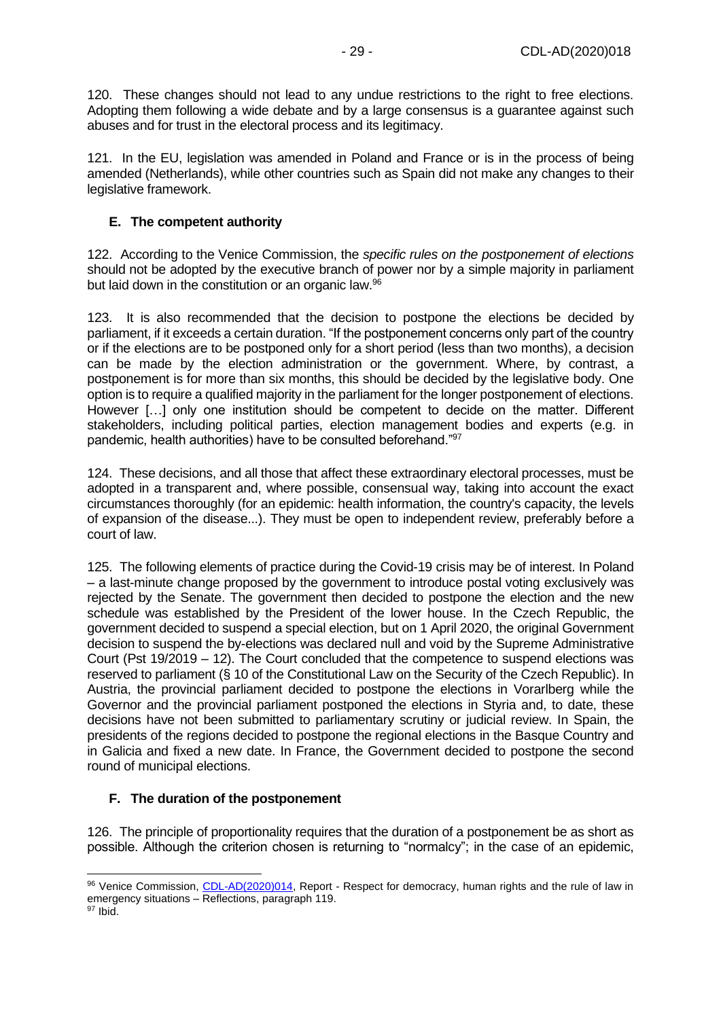120. These changes should not lead to any undue restrictions to the right to free elections. Adopting them following a wide debate and by a large consensus is a guarantee against such abuses and for trust in the electoral process and its legitimacy.

121. In the EU, legislation was amended in Poland and France or is in the process of being amended (Netherlands), while other countries such as Spain did not make any changes to their legislative framework.

### <span id="page-28-0"></span>**E. The competent authority**

122. According to the Venice Commission, the *specific rules on the postponement of elections* should not be adopted by the executive branch of power nor by a simple majority in parliament but laid down in the constitution or an organic law.<sup>96</sup>

123. It is also recommended that the decision to postpone the elections be decided by parliament, if it exceeds a certain duration. "If the postponement concerns only part of the country or if the elections are to be postponed only for a short period (less than two months), a decision can be made by the election administration or the government. Where, by contrast, a postponement is for more than six months, this should be decided by the legislative body. One option is to require a qualified majority in the parliament for the longer postponement of elections. However […] only one institution should be competent to decide on the matter. Different stakeholders, including political parties, election management bodies and experts (e.g. in pandemic, health authorities) have to be consulted beforehand."<sup>97</sup>

124. These decisions, and all those that affect these extraordinary electoral processes, must be adopted in a transparent and, where possible, consensual way, taking into account the exact circumstances thoroughly (for an epidemic: health information, the country's capacity, the levels of expansion of the disease...). They must be open to independent review, preferably before a court of law.

125. The following elements of practice during the Covid-19 crisis may be of interest. In Poland – a last-minute change proposed by the government to introduce postal voting exclusively was rejected by the Senate. The government then decided to postpone the election and the new schedule was established by the President of the lower house. In the Czech Republic, the government decided to suspend a special election, but on 1 April 2020, the original Government decision to suspend the by-elections was declared null and void by the Supreme Administrative Court (Pst 19/2019 – 12). The Court concluded that the competence to suspend elections was reserved to parliament (§ 10 of the Constitutional Law on the Security of the Czech Republic). In Austria, the provincial parliament decided to postpone the elections in Vorarlberg while the Governor and the provincial parliament postponed the elections in Styria and, to date, these decisions have not been submitted to parliamentary scrutiny or judicial review. In Spain, the presidents of the regions decided to postpone the regional elections in the Basque Country and in Galicia and fixed a new date. In France, the Government decided to postpone the second round of municipal elections.

### <span id="page-28-1"></span>**F. The duration of the postponement**

126. The principle of proportionality requires that the duration of a postponement be as short as possible. Although the criterion chosen is returning to "normalcy"; in the case of an epidemic,

<sup>96</sup> Venice Commission, [CDL-AD\(2020\)014,](https://www.venice.coe.int/webforms/documents/?pdf=CDL-AD(2020)014-e) Report - Respect for democracy, human rights and the rule of law in emergency situations – Reflections, paragraph 119.  $97$  Ibid.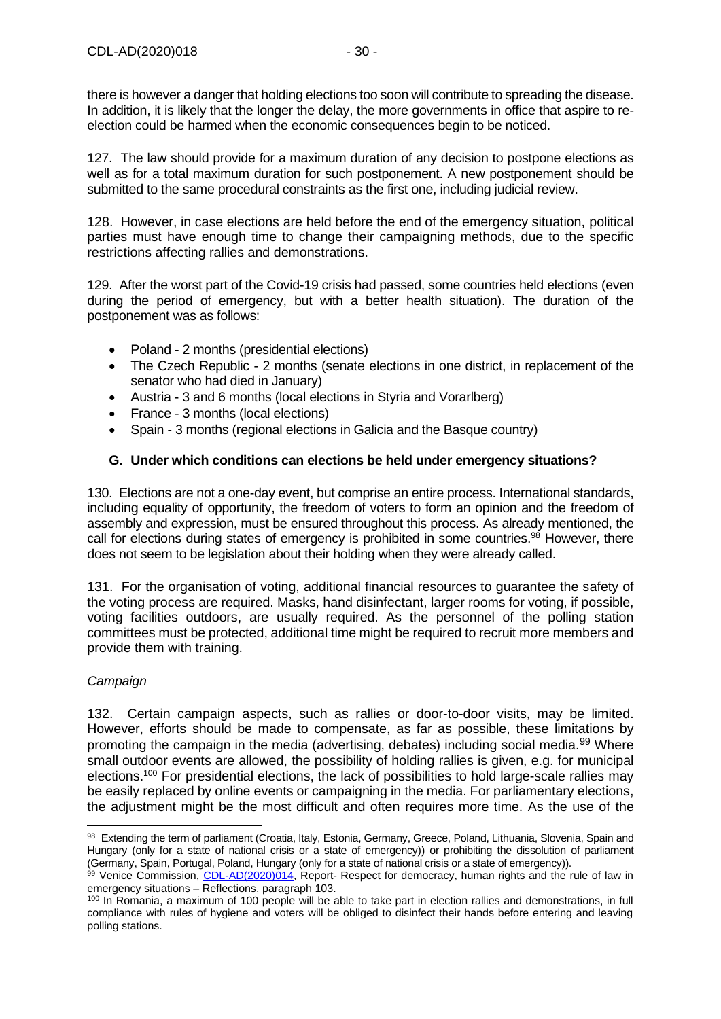there is however a danger that holding elections too soon will contribute to spreading the disease. In addition, it is likely that the longer the delay, the more governments in office that aspire to reelection could be harmed when the economic consequences begin to be noticed.

127. The law should provide for a maximum duration of any decision to postpone elections as well as for a total maximum duration for such postponement. A new postponement should be submitted to the same procedural constraints as the first one, including judicial review.

128. However, in case elections are held before the end of the emergency situation, political parties must have enough time to change their campaigning methods, due to the specific restrictions affecting rallies and demonstrations.

129. After the worst part of the Covid-19 crisis had passed, some countries held elections (even during the period of emergency, but with a better health situation). The duration of the postponement was as follows:

- Poland 2 months (presidential elections)
- The Czech Republic 2 months (senate elections in one district, in replacement of the senator who had died in January)
- Austria 3 and 6 months (local elections in Styria and Vorarlberg)
- France 3 months (local elections)
- Spain 3 months (regional elections in Galicia and the Basque country)

### <span id="page-29-0"></span>**G. Under which conditions can elections be held under emergency situations?**

130. Elections are not a one-day event, but comprise an entire process. International standards, including equality of opportunity, the freedom of voters to form an opinion and the freedom of assembly and expression, must be ensured throughout this process. As already mentioned, the call for elections during states of emergency is prohibited in some countries.<sup>98</sup> However, there does not seem to be legislation about their holding when they were already called.

131. For the organisation of voting, additional financial resources to guarantee the safety of the voting process are required. Masks, hand disinfectant, larger rooms for voting, if possible, voting facilities outdoors, are usually required. As the personnel of the polling station committees must be protected, additional time might be required to recruit more members and provide them with training.

### *Campaign*

132. Certain campaign aspects, such as rallies or door-to-door visits, may be limited. However, efforts should be made to compensate, as far as possible, these limitations by promoting the campaign in the media (advertising, debates) including social media.<sup>99</sup> Where small outdoor events are allowed, the possibility of holding rallies is given, e.g. for municipal elections.<sup>100</sup> For presidential elections, the lack of possibilities to hold large-scale rallies may be easily replaced by online events or campaigning in the media. For parliamentary elections, the adjustment might be the most difficult and often requires more time. As the use of the

<sup>98</sup> Extending the term of parliament (Croatia, Italy, Estonia, Germany, Greece, Poland, Lithuania, Slovenia, Spain and Hungary (only for a state of national crisis or a state of emergency)) or prohibiting the dissolution of parliament (Germany, Spain, Portugal, Poland, Hungary (only for a state of national crisis or a state of emergency)).

<sup>99</sup> Venice Commission, [CDL-AD\(2020\)014,](https://www.venice.coe.int/webforms/documents/?pdf=CDL-AD(2020)014-e) Report- Respect for democracy, human rights and the rule of law in emergency situations – Reflections, paragraph 103.

<sup>&</sup>lt;sup>100</sup> In Romania, a maximum of 100 people will be able to take part in election rallies and demonstrations, in full compliance with rules of hygiene and voters will be obliged to disinfect their hands before entering and leaving polling stations.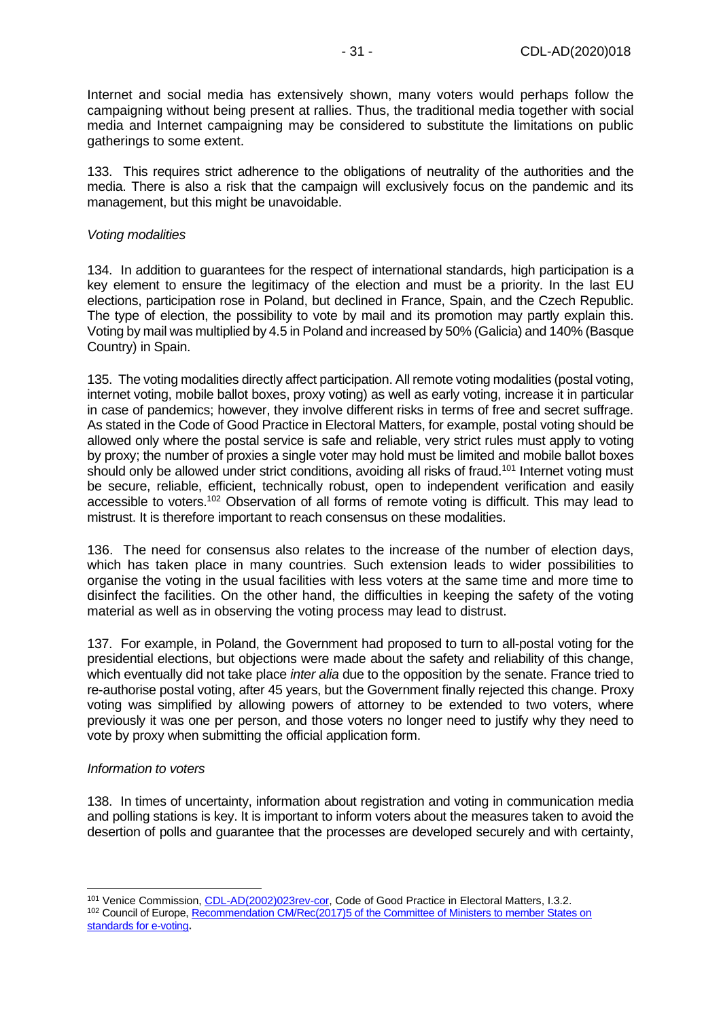Internet and social media has extensively shown, many voters would perhaps follow the campaigning without being present at rallies. Thus, the traditional media together with social media and Internet campaigning may be considered to substitute the limitations on public gatherings to some extent.

133. This requires strict adherence to the obligations of neutrality of the authorities and the media. There is also a risk that the campaign will exclusively focus on the pandemic and its management, but this might be unavoidable.

#### *Voting modalities*

134. In addition to guarantees for the respect of international standards, high participation is a key element to ensure the legitimacy of the election and must be a priority. In the last EU elections, participation rose in Poland, but declined in France, Spain, and the Czech Republic. The type of election, the possibility to vote by mail and its promotion may partly explain this. Voting by mail was multiplied by 4.5 in Poland and increased by 50% (Galicia) and 140% (Basque Country) in Spain.

135. The voting modalities directly affect participation. All remote voting modalities (postal voting, internet voting, mobile ballot boxes, proxy voting) as well as early voting, increase it in particular in case of pandemics; however, they involve different risks in terms of free and secret suffrage. As stated in the Code of Good Practice in Electoral Matters, for example, postal voting should be allowed only where the postal service is safe and reliable, very strict rules must apply to voting by proxy; the number of proxies a single voter may hold must be limited and mobile ballot boxes should only be allowed under strict conditions, avoiding all risks of fraud.<sup>101</sup> Internet voting must be secure, reliable, efficient, technically robust, open to independent verification and easily accessible to voters.<sup>102</sup> Observation of all forms of remote voting is difficult. This may lead to mistrust. It is therefore important to reach consensus on these modalities.

136. The need for consensus also relates to the increase of the number of election days, which has taken place in many countries. Such extension leads to wider possibilities to organise the voting in the usual facilities with less voters at the same time and more time to disinfect the facilities. On the other hand, the difficulties in keeping the safety of the voting material as well as in observing the voting process may lead to distrust.

137. For example, in Poland, the Government had proposed to turn to all-postal voting for the presidential elections, but objections were made about the safety and reliability of this change, which eventually did not take place *inter alia* due to the opposition by the senate. France tried to re-authorise postal voting, after 45 years, but the Government finally rejected this change. Proxy voting was simplified by allowing powers of attorney to be extended to two voters, where previously it was one per person, and those voters no longer need to justify why they need to vote by proxy when submitting the official application form.

#### *Information to voters*

138. In times of uncertainty, information about registration and voting in communication media and polling stations is key. It is important to inform voters about the measures taken to avoid the desertion of polls and guarantee that the processes are developed securely and with certainty,

<sup>101</sup> Venice Commission, [CDL-AD\(2002\)023rev-cor,](https://www.venice.coe.int/webforms/documents/?pdf=CDL-AD(2002)023rev2-cor-e) Code of Good Practice in Electoral Matters, I.3.2. <sup>102</sup> Council of Europe, Recommendation CM/Rec(2017)5 of the Committee of Ministers to member States on [standards for e-voting](https://search.coe.int/cm/Pages/result_details.aspx?ObjectID=0900001680726f6f)**.**